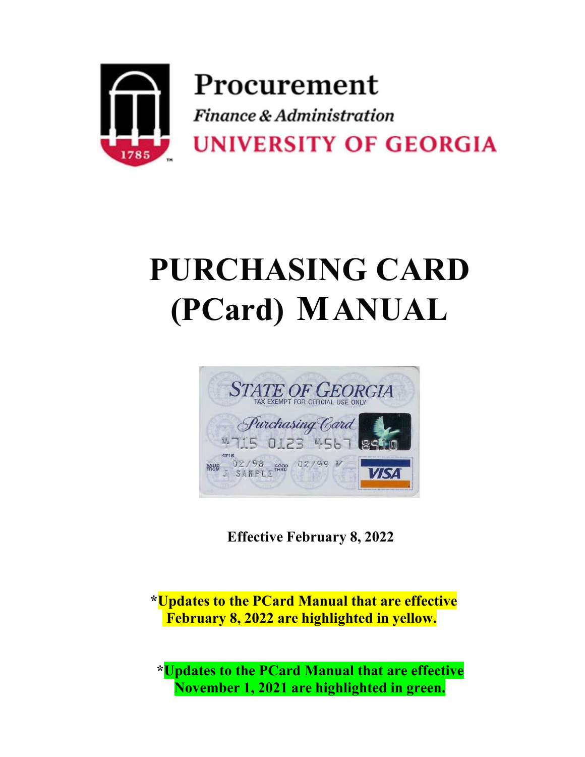

# **PURCHASING CARD (PCard) ANUAL**



**Effective February 8, 2022**

**\*Updates to the PCard Manual that are effective February 8, 2022 are highlighted in yellow.**

**\*Updates to the PCard Manual that are effective November 1, 2021 are highlighted in green.**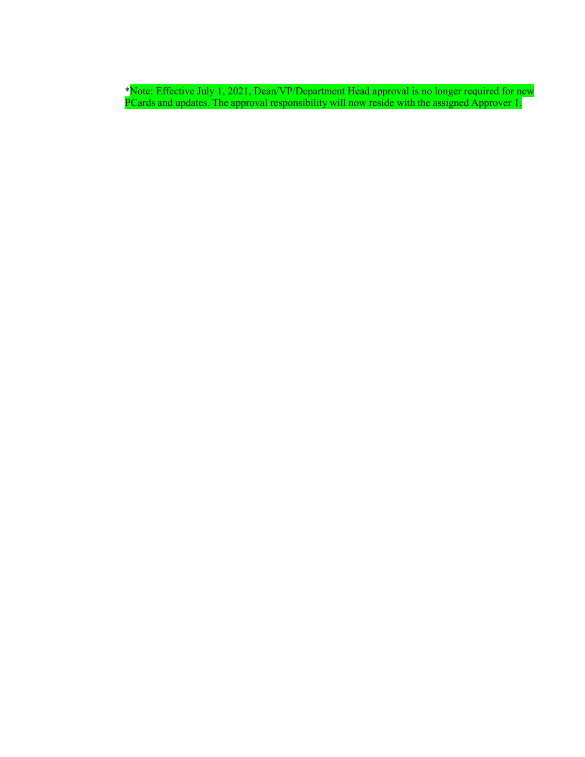\*Note: Effective July 1, 2021, Dean/VP/Department Head approval is no longer required for new PCards and updates. The approval responsibility will now reside with the assigned Approver 1.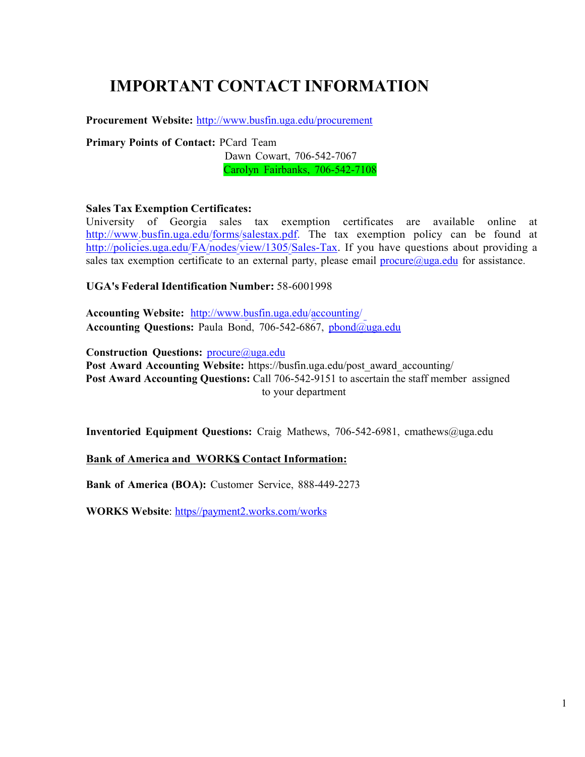# **IMPORTANT CONTACT INFORMATION**

**Procurement Website:** <http://www.busfin.uga.edu/procurement>

**Primary Points of Contact:** PCard Team

Dawn Cowart, 706-542-7067 Carolyn Fairbanks, 706-542-7108

#### **Sales Tax Exemption Certificates:**

University of Georgia sales tax exemption certificates are available online at [http://www.busfin.uga.edu/forms/salestax.pdf.](http://www.busfin.uga.edu/forms/salestax.pdf) The tax exemption policy can be found at [http://policies.uga.edu/FA/nodes/view/1305/Sales-Tax.](http://policies.uga.edu/FA/nodes/view/1305/Sales-Tax) If you have questions about providing a sales tax exemption certificate to an external party, please email  $\text{procedure}(\partial \text{uga.edu})$  for assistance.

#### **UGA's Federal Identification Number:** 58-6001998

**Accounting Website:** <http://www.busfin.uga.edu/accounting/> **Accounting Questions:** Paula Bond, 706-542-6867, [pbond@uga.edu](mailto:pbond@uga.edu)

**Construction Questions:** [procure@uga.edu](mailto:procure@uga.edu) **Post Award Accounting Website:** [https://busfin.uga.edu/post\\_award\\_accounting/](https://busfin.uga.edu/post_award_accounting/) **Post Award Accounting Questions:** Call 706-542-9151 to ascertain the staff member assigned to your department

**Inventoried Equipment Questions:** Craig Mathews, 706-542-6981, [cmathews@uga.edu](mailto:cmathews@uga.edu)

#### **Bank** of America and WORKS Contact Information:

**Bank of America (BOA):** Customer Service, 888-449-2273

**WORKS Website**: [https//payment2.works.com/works](https://payment2.works.com/works/)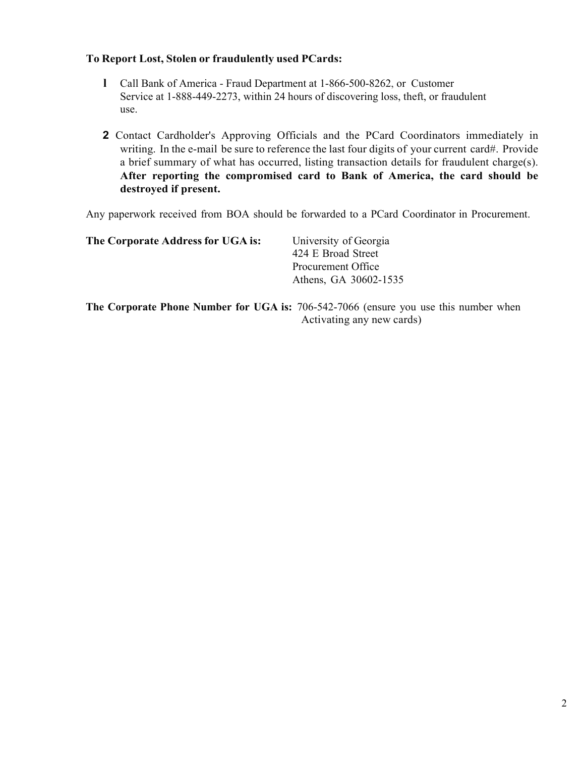#### **To Report Lost, Stolen or fraudulently used PCards:**

- **l** Call Bank of America Fraud Department at 1-866-500-8262, or Customer Service at 1-888-449-2273, within 24 hours of discovering loss, theft, or fraudulent use.
- **2** Contact Cardholder's Approving Officials and the PCard Coordinators immediately in writing. In the e-mail be sure to reference the last four digits of your current card#. Provide a brief summary of what has occurred, listing transaction details for fraudulent charge(s). **After reporting the compromised card to Bank of America, the card should be destroyed if present.**

Any paperwork received from BOA should be forwarded to a PCard Coordinator in Procurement.

| The Corporate Address for UGA is: | University of Georgia |
|-----------------------------------|-----------------------|
|                                   | 424 E Broad Street    |
|                                   | Procurement Office    |
|                                   | Athens, GA 30602-1535 |
|                                   |                       |

**The Corporate Phone Number for UGA is:** 706-542-7066 (ensure you use this number when Activating any new cards)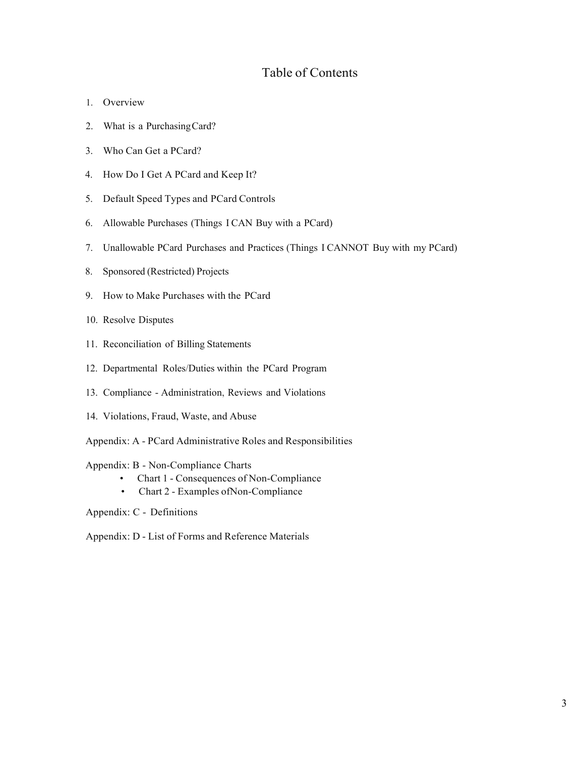# Table of Contents

- 1. Overview
- 2. What is a PurchasingCard?
- 3. Who Can Get a PCard?
- 4. How Do I Get A PCard and Keep It?
- 5. Default Speed Types and PCard Controls
- 6. Allowable Purchases (Things I CAN Buy with a PCard)
- 7. Unallowable PCard Purchases and Practices (Things I CANNOT Buy with my PCard)
- 8. Sponsored (Restricted) Projects
- 9. How to Make Purchases with the PCard
- 10. Resolve Disputes
- 11. Reconciliation of Billing Statements
- 12. Departmental Roles/Duties within the PCard Program
- 13. Compliance Administration, Reviews and Violations
- 14. Violations, Fraud, Waste, and Abuse
- Appendix: A PCard Administrative Roles and Responsibilities

#### Appendix: B - Non-Compliance Charts

- Chart 1 Consequences of Non-Compliance
- Chart 2 Examples ofNon-Compliance

Appendix: C - Definitions

Appendix: D - List of Forms and Reference Materials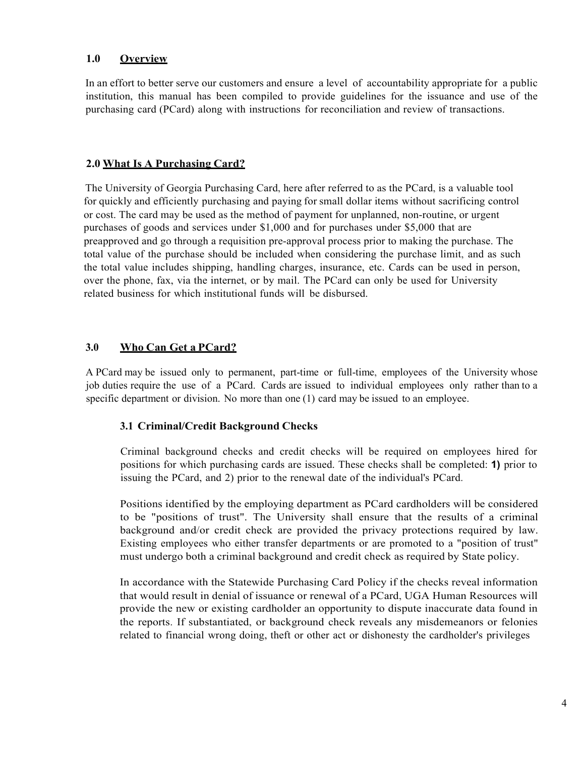#### **1.0 Overview**

In an effort to better serve our customers and ensure a level of accountability appropriate for a public institution, this manual has been compiled to provide guidelines for the issuance and use of the purchasing card (PCard) along with instructions for reconciliation and review of transactions.

#### **2.0 What Is A Purchasing Card?**

The University of Georgia Purchasing Card, here after referred to as the PCard, is a valuable tool for quickly and efficiently purchasing and paying for small dollar items without sacrificing control or cost. The card may be used as the method of payment for unplanned, non-routine, or urgent purchases of goods and services under \$1,000 and for purchases under \$5,000 that are preapproved and go through a requisition pre-approval process prior to making the purchase. The total value of the purchase should be included when considering the purchase limit, and as such the total value includes shipping, handling charges, insurance, etc. Cards can be used in person, over the phone, fax, via the internet, or by mail. The PCard can only be used for University related business for which institutional funds will be disbursed.

# **3.0 Who Can Get a PCard?**

A PCard may be issued only to permanent, part-time or full-time, employees of the University whose job duties require the use of a PCard. Cards are issued to individual employees only rather than to a specific department or division. No more than one (1) card may be issued to an employee.

#### **3.1 Criminal/Credit Background Checks**

Criminal background checks and credit checks will be required on employees hired for positions for which purchasing cards are issued. These checks shall be completed: **1)** prior to issuing the PCard, and 2) prior to the renewal date of the individual's PCard.

Positions identified by the employing department as PCard cardholders will be considered to be "positions of trust". The University shall ensure that the results of a criminal background and/or credit check are provided the privacy protections required by law. Existing employees who either transfer departments or are promoted to a "position of trust" must undergo both a criminal background and credit check as required by State policy.

In accordance with the Statewide Purchasing Card Policy if the checks reveal information that would result in denial of issuance or renewal of a PCard, UGA Human Resources will provide the new or existing cardholder an opportunity to dispute inaccurate data found in the reports. If substantiated, or background check reveals any misdemeanors or felonies related to financial wrong doing, theft or other act or dishonesty the cardholder's privileges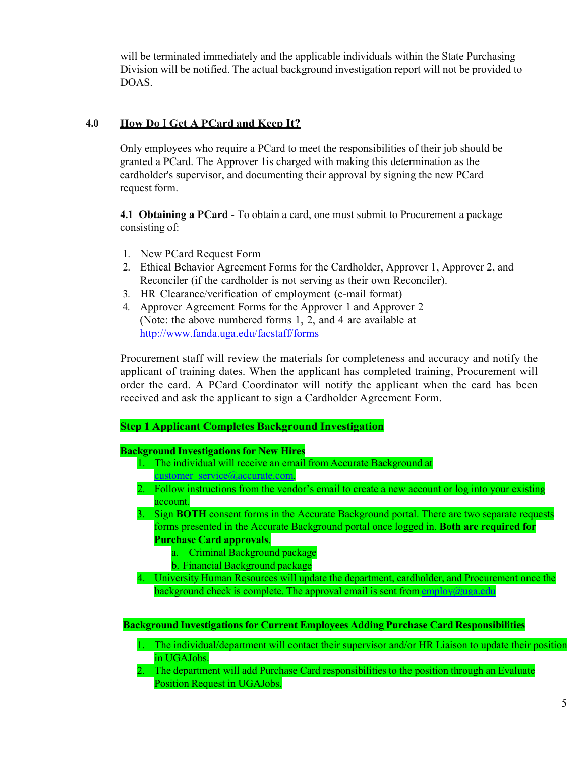will be terminated immediately and the applicable individuals within the State Purchasing Division will be notified. The actual background investigation report will not be provided to DOAS.

# **4.0 How Do** I **Get A PCard and Keep It?**

Only employees who require a PCard to meet the responsibilities of their job should be granted a PCard. The Approver 1is charged with making this determination as the cardholder's supervisor, and documenting their approval by signing the new PCard request form.

**4.1 Obtaining a PCard** - To obtain a card, one must submit to Procurement a package consisting of:

- 1. New PCard Request Form
- 2. Ethical Behavior Agreement Forms for the Cardholder, Approver 1, Approver 2, and Reconciler (if the cardholder is not serving as their own Reconciler).
- 3. HR Clearance/verification of employment (e-mail format)
- 4. Approver Agreement Forms for the Approver 1 and Approver 2 (Note: the above numbered forms 1, 2, and 4 are available at <http://www.fanda.uga.edu/facstaff/forms>

Procurement staff will review the materials for completeness and accuracy and notify the applicant of training dates. When the applicant has completed training, Procurement will order the card. A PCard Coordinator will notify the applicant when the card has been received and ask the applicant to sign a Cardholder Agreement Form.

#### **Step 1 Applicant Completes Background Investigation**

#### **Background Investigations for New Hires**

- 1. The individual will receive an email from Accurate Background at [customer\\_service@accurate.com.](mailto:customer_service@accurate.com)
- 2. Follow instructions from the vendor's email to create a new account or log into your existing account.

3. Sign **BOTH** consent forms in the Accurate Background portal. There are two separate requests forms presented in the Accurate Background portal once logged in. **Both are required for Purchase Card approvals**.

- a. Criminal Background package
- b. Financial Background package
- 4. University Human Resources will update the department, cardholder, and Procurement once the background check is complete. The approval email is sent from  $\frac{\text{emblov}(a)$ uga.edu

**Background Investigations for Current Employees Adding Purchase Card Responsibilities**

- 1. The individual/department will contact their supervisor and/or HR Liaison to update their position in UGAJobs.
- 2. The department will add Purchase Card responsibilities to the position through an Evaluate Position Request in UGAJobs.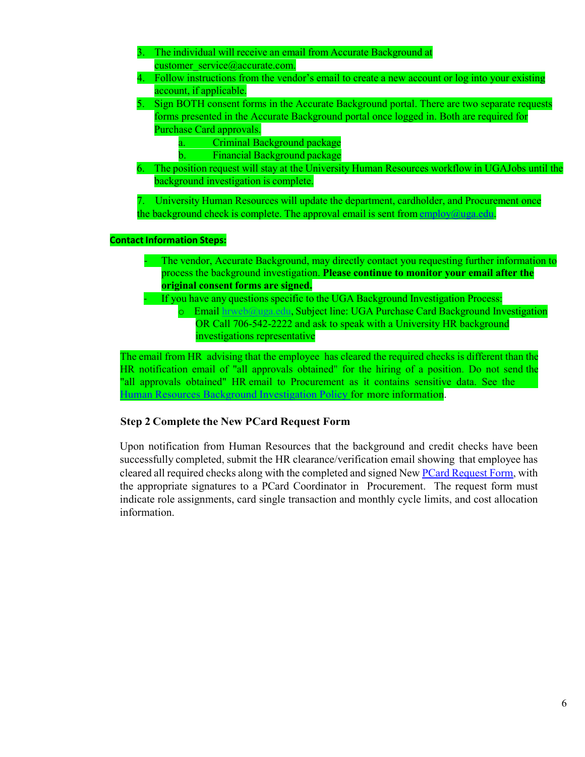- 3. The individual will receive an email from Accurate Background at [customer\\_service@accurate.com.](mailto:customer_service@accurate.com)
- 4. Follow instructions from the vendor's email to create a new account or log into your existing account, if applicable.
- 5. Sign BOTH consent forms in the Accurate Background portal. There are two separate requests forms presented in the Accurate Background portal once logged in. Both are required for Purchase Card approvals.
	- a. Criminal Background package
	- b. Financial Background package
- 6. The position request will stay at the University Human Resources workflow in UGAJobs until the background investigation is complete.

7. University Human Resources will update the department, cardholder, and Procurement once the background check is complete. The approval email is sent from [employ@uga.edu.](mailto:employ@uga.edu)

#### **Contact Information Steps:**

- The vendor, Accurate Background, may directly contact you requesting further information to process the background investigation. **Please continue to monitor your email after the original consent forms are signed.**
	- If you have any questions specific to the UGA Background Investigation Process: o Email [hrweb@uga.edu,](mailto:hrweb@uga.edu) Subject line: UGA Purchase Card Background Investigation OR Call 706-542-2222 and ask to speak with a University HR background investigations representative

Human Resources Background [Investigation](https://policies.uga.edu/Human-Resources/Employment/Employment-processes/Background-investigations/) Policy for more information. The email from HR advising that the employee has cleared the required checks is different than the HR notification email of "all approvals obtained" for the hiring of a position. Do not send the "all approvals obtained" HR email to Procurement as it contains sensitive data. See the

#### **Step 2 Complete the New PCard Request Form**

Upon notification from Human Resources that the background and credit checks have been successfully completed, submit the HR clearance/verification email showing that employee has cleared all required checks along with the completed and signed New **PCard Request Form**, with the appropriate signatures to a PCard Coordinator in Procurement. The request form must indicate role assignments, card single transaction and monthly cycle limits, and cost allocation information.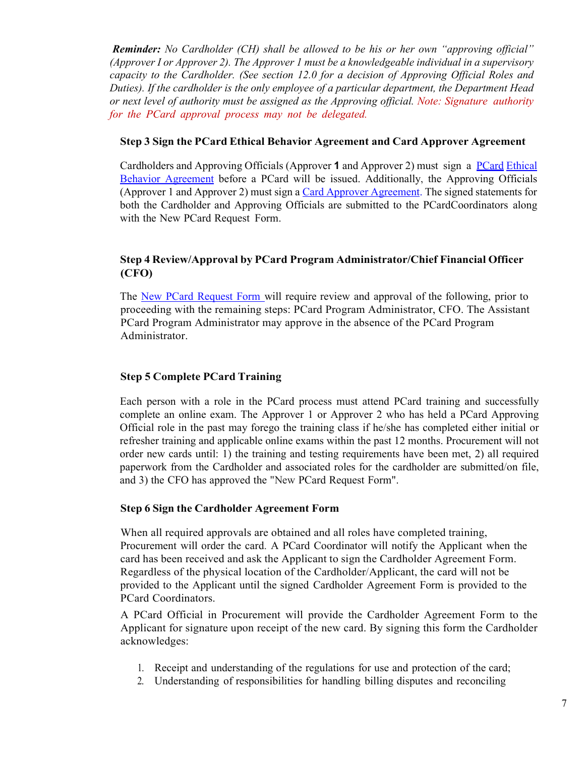*Reminder: No Cardholder (CH) shall be allowed to be his or her own "approving official" (Approver I or Approver 2). The Approver 1 must be a knowledgeable individual in a supervisory capacity to the Cardholder. (See section 12.0 for a decision of Approving Official Roles and Duties). If the cardholder is the only employee of a particular department, the Department Head or next level of authority must be assigned as the Approving official. Note: Signature authority for the PCard approval process may not be delegated.*

#### **Step 3 Sign the PCard Ethical Behavior Agreement and Card Approver Agreement**

Cardholders and Approving Officials (Approver **1** and Approver 2) must sign a [PCard](http://www.busfin.uga.edu/forms/pcard_ethics.pdf) [Ethical](http://www.busfin.uga.edu/forms/pcard_ethics.pdf)  [Behavior Agreement](http://www.busfin.uga.edu/forms/pcard_ethics.pdf) before a PCard will be issued. Additionally, the Approving Officials (Approver 1 and Approver 2) must sign a [Card Approver Agreement.](http://busfin.uga.edu/procurement/pdf/CardCardholderAgreement.pdf) The signed statements for both the Cardholder and Approving Officials are submitted to the PCardCoordinators along with the New PCard Request Form.

# **Step 4 Review/Approval by PCard Program Administrator/Chief Financial Officer (CFO)**

The New PCard [Request](http://www.busfin.uga.edu/forms/pcard_reqform_new.pdf) Form will require review and approval of the following, prior to proceeding with the remaining steps: PCard Program Administrator, CFO. The Assistant PCard Program Administrator may approve in the absence of the PCard Program Administrator.

# **Step 5 Complete PCard Training**

Each person with a role in the PCard process must attend PCard training and successfully complete an online exam. The Approver 1 or Approver 2 who has held a PCard Approving Official role in the past may forego the training class if he/she has completed either initial or refresher training and applicable online exams within the past 12 months. Procurement will not order new cards until: 1) the training and testing requirements have been met, 2) all required paperwork from the Cardholder and associated roles for the cardholder are submitted/on file, and 3) the CFO has approved the "New PCard Request Form".

#### **Step 6 Sign the Cardholder Agreement Form**

When all required approvals are obtained and all roles have completed training, Procurement will order the card. A PCard Coordinator will notify the Applicant when the card has been received and ask the Applicant to sign the Cardholder Agreement Form. Regardless of the physical location of the Cardholder/Applicant, the card will not be provided to the Applicant until the signed Cardholder Agreement Form is provided to the PCard Coordinators.

A PCard Official in Procurement will provide the Cardholder Agreement Form to the Applicant for signature upon receipt of the new card. By signing this form the Cardholder acknowledges:

- 1. Receipt and understanding of the regulations for use and protection of the card;
- 2. Understanding of responsibilities for handling billing disputes and reconciling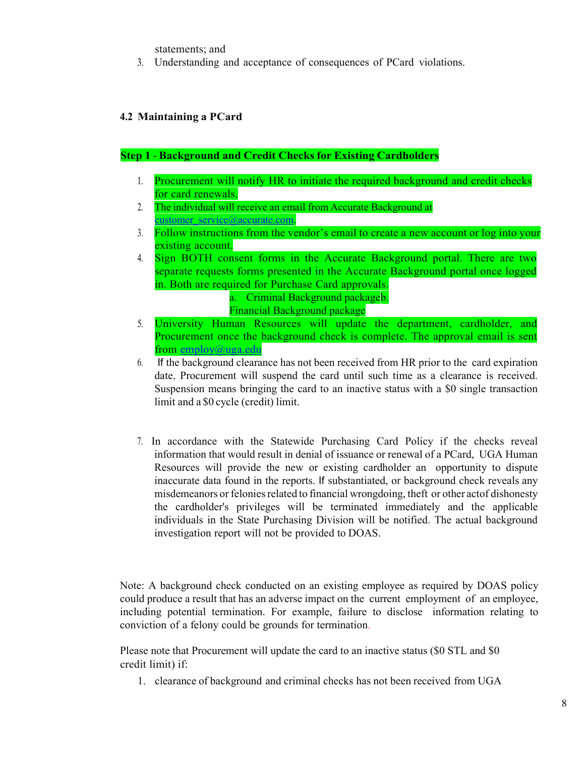statements; and

3. Understanding and acceptance of consequences of PCard violations.

# **4.2 Maintaining a PCard**

#### **Step 1** - **Background and Credit Checks for Existing Cardholders**

- 1. Procurement will notify HR to initiate the required background and credit checks for card renewals.
- 2. The individual will receive an email from Accurate Background at [customer\\_service@accurate.com.](mailto:customer_service@accurate.com)
- 3. Follow instructions from the vendor's email to create a new account or log into your existing account.
- 4. Sign BOTH consent forms in the Accurate Background portal. There are two separate requests forms presented in the Accurate Background portal once logged in. Both are required for Purchase Card approvals.

a. Criminal Background packageb.

- Financial Background package
- 5. University Human Resources will update the department, cardholder, and Procurement once the background check is complete. The approval email is sent from [employ@uga.edu](mailto:employ@uga.edu)
- 6. If the background clearance has not been received from HR prior to the card expiration date, Procurement will suspend the card until such time as a clearance is received. Suspension means bringing the card to an inactive status with a \$0 single transaction limit and a \$0 cycle (credit) limit.
- 7. In accordance with the Statewide Purchasing Card Policy if the checks reveal information that would result in denial of issuance or renewal of a PCard, UGA Human Resources will provide the new or existing cardholder an opportunity to dispute inaccurate data found in the reports. If substantiated, or background check reveals any misdemeanors or felonies related to financial wrongdoing, theft or other actof dishonesty the cardholder's privileges will be terminated immediately and the applicable individuals in the State Purchasing Division will be notified. The actual background investigation report will not be provided to DOAS.

Note: A background check conducted on an existing employee as required by DOAS policy could produce a result that has an adverse impact on the current employment of an employee, including potential termination. For example, failure to disclose information relating to conviction of a felony could be grounds for termination.

Please note that Procurement will update the card to an inactive status (\$0 STL and \$0 credit limit) if:

1. clearance of background and criminal checks has not been received from UGA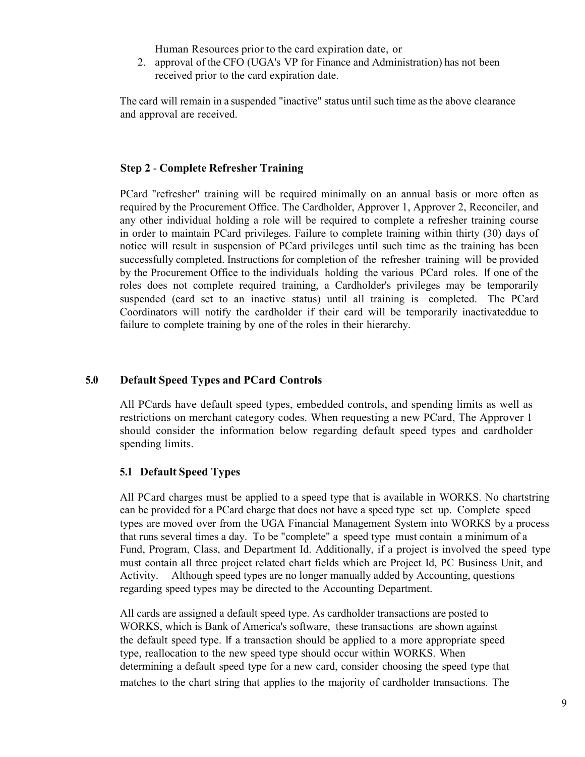Human Resources prior to the card expiration date, or

2. approval of the CFO (UGA's VP for Finance and Administration) has not been received prior to the card expiration date.

The card will remain in a suspended "inactive" status until such time as the above clearance and approval are received.

#### **Step 2** - **Complete Refresher Training**

PCard "refresher" training will be required minimally on an annual basis or more often as required by the Procurement Office. The Cardholder, Approver 1, Approver 2, Reconciler, and any other individual holding a role will be required to complete a refresher training course in order to maintain PCard privileges. Failure to complete training within thirty (30) days of notice will result in suspension of PCard privileges until such time as the training has been successfully completed. Instructions for completion of the refresher training will be provided by the Procurement Office to the individuals holding the various PCard roles. If one of the roles does not complete required training, a Cardholder's privileges may be temporarily suspended (card set to an inactive status) until all training is completed. The PCard Coordinators will notify the cardholder if their card will be temporarily inactivateddue to failure to complete training by one of the roles in their hierarchy.

#### **5.0 Default Speed Types and PCard Controls**

All PCards have default speed types, embedded controls, and spending limits as well as restrictions on merchant category codes. When requesting a new PCard, The Approver 1 should consider the information below regarding default speed types and cardholder spending limits.

# **5.1 Default Speed Types**

All PCard charges must be applied to a speed type that is available in WORKS. No chartstring can be provided for a PCard charge that does not have a speed type set up. Complete speed types are moved over from the UGA Financial Management System into WORKS by a process that runs several times a day. To be "complete" a speed type must contain a minimum of a Fund, Program, Class, and Department Id. Additionally, if a project is involved the speed type must contain all three project related chart fields which are Project Id, PC Business Unit, and Activity. Although speed types are no longer manually added by Accounting, questions regarding speed types may be directed to the Accounting Department.

All cards are assigned a default speed type. As cardholder transactions are posted to WORKS, which is Bank of America's software, these transactions are shown against the default speed type. If a transaction should be applied to a more appropriate speed type, reallocation to the new speed type should occur within WORKS. When determining a default speed type for a new card, consider choosing the speed type that matches to the chart string that applies to the majority of cardholder transactions. The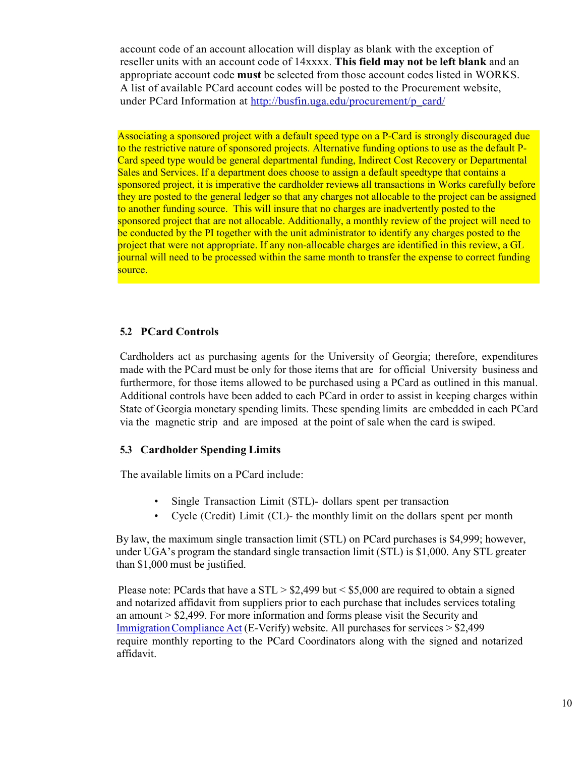account code of an account allocation will display as blank with the exception of reseller units with an account code of 14xxxx. **This field may not be left blank** and an appropriate account code **must** be selected from those account codes listed in WORKS. A list of available PCard account codes will be posted to the Procurement website, under PCard Information at [http://busfin.uga.edu/procurement/p\\_card/](http://busfin.uga.edu/procurement/p_card/)

Associating a sponsored project with a default speed type on a P-Card is strongly discouraged due to the restrictive nature of sponsored projects. Alternative funding options to use as the default P-Card speed type would be general departmental funding, Indirect Cost Recovery or Departmental Sales and Services. If a department does choose to assign a default speedtype that contains a sponsored project, it is imperative the cardholder reviews all transactions in Works carefully before they are posted to the general ledger so that any charges not allocable to the project can be assigned to another funding source. This will insure that no charges are inadvertently posted to the sponsored project that are not allocable. Additionally, a monthly review of the project will need to be conducted by the PI together with the unit administrator to identify any charges posted to the project that were not appropriate. If any non-allocable charges are identified in this review, a GL journal will need to be processed within the same month to transfer the expense to correct funding source.

#### **5.2 PCard Controls**

Cardholders act as purchasing agents for the University of Georgia; therefore, expenditures made with the PCard must be only for those items that are for official University business and furthermore, for those items allowed to be purchased using a PCard as outlined in this manual. Additional controls have been added to each PCard in order to assist in keeping charges within State of Georgia monetary spending limits. These spending limits are embedded in each PCard via the magnetic strip and are imposed at the point of sale when the card is swiped.

#### **5.3 Cardholder Spending Limits**

The available limits on a PCard include:

- Single Transaction Limit (STL)- dollars spent per transaction
- Cycle (Credit) Limit (CL)- the monthly limit on the dollars spent per month

By law, the maximum single transaction limit (STL) on PCard purchases is \$4,999; however, under UGA's program the standard single transaction limit (STL) is \$1,000. Any STL greater than \$1,000 must be justified.

Please note: PCards that have a  $STL > $2,499$  but  $\lt $5,000$  are required to obtain a signed and notarized affidavit from suppliers prior to each purchase that includes services totaling an amount > \$2,499. For more information and forms please visit the Security and [ImmigrationCompliance](http://www.audits.ga.gov/NALGAD/section_3_affidavits.html) Act (E-Verify) website. All purchases for services > \$2,499 require monthly reporting to the PCard Coordinators along with the signed and notarized affidavit.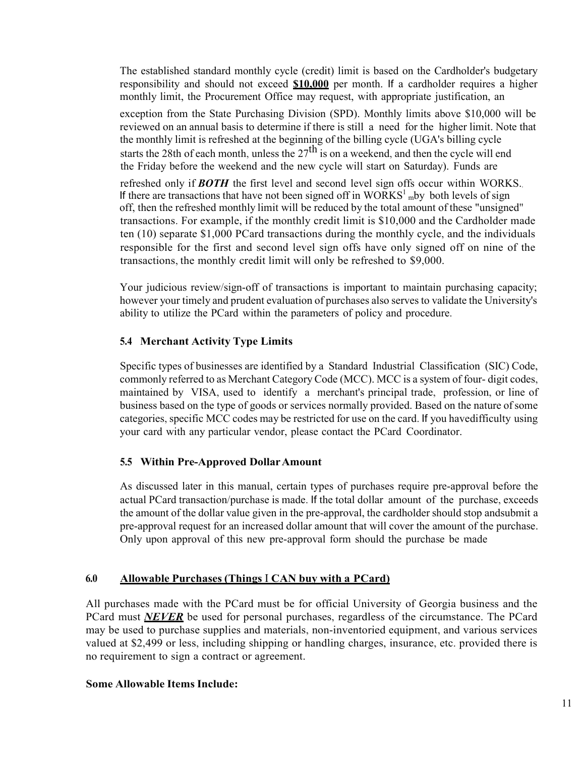The established standard monthly cycle (credit) limit is based on the Cardholder's budgetary responsibility and should not exceed **\$10,000** per month. If a cardholder requires a higher monthly limit, the Procurement Office may request, with appropriate justification, an

exception from the State Purchasing Division (SPD). Monthly limits above \$10,000 will be reviewed on an annual basis to determine if there is still a need for the higher limit. Note that the monthly limit is refreshed at the beginning of the billing cycle (UGA's billing cycle starts the 28th of each month, unless the  $27<sup>th</sup>$  is on a weekend, and then the cycle will end the Friday before the weekend and the new cycle will start on Saturday). Funds are

refreshed only if *BOTH* the first level and second level sign offs occur within WORKS.. If there are transactions that have not been signed off in  $WORKS<sup>1</sup>$  mby both levels of sign off, then the refreshed monthly limit will be reduced by the total amount of these "unsigned" transactions. For example, if the monthly credit limit is \$10,000 and the Cardholder made ten (10) separate \$1,000 PCard transactions during the monthly cycle, and the individuals responsible for the first and second level sign offs have only signed off on nine of the transactions, the monthly credit limit will only be refreshed to \$9,000.

Your judicious review/sign-off of transactions is important to maintain purchasing capacity; however your timely and prudent evaluation of purchases also serves to validate the University's ability to utilize the PCard within the parameters of policy and procedure.

# **5.4 Merchant Activity Type Limits**

Specific types of businesses are identified by a Standard Industrial Classification (SIC) Code, commonly referred to as Merchant Category Code (MCC). MCC is a system of four- digit codes, maintained by VISA, used to identify a merchant's principal trade, profession, or line of business based on the type of goods or services normally provided. Based on the nature ofsome categories, specific MCC codes may be restricted for use on the card. If you havedifficulty using your card with any particular vendor, please contact the PCard Coordinator.

# **5.5 Within Pre-Approved DollarAmount**

As discussed later in this manual, certain types of purchases require pre-approval before the actual PCard transaction/purchase is made. If the total dollar amount of the purchase, exceeds the amount of the dollar value given in the pre-approval, the cardholder should stop andsubmit a pre-approval request for an increased dollar amount that will cover the amount of the purchase. Only upon approval of this new pre-approval form should the purchase be made

# **6.0 Allowable Purchases (Things** I **CAN buy with a PCard)**

All purchases made with the PCard must be for official University of Georgia business and the PCard must *NEVER* be used for personal purchases, regardless of the circumstance. The PCard may be used to purchase supplies and materials, non-inventoried equipment, and various services valued at \$2,499 or less, including shipping or handling charges, insurance, etc. provided there is no requirement to sign a contract or agreement.

#### **Some Allowable Items Include:**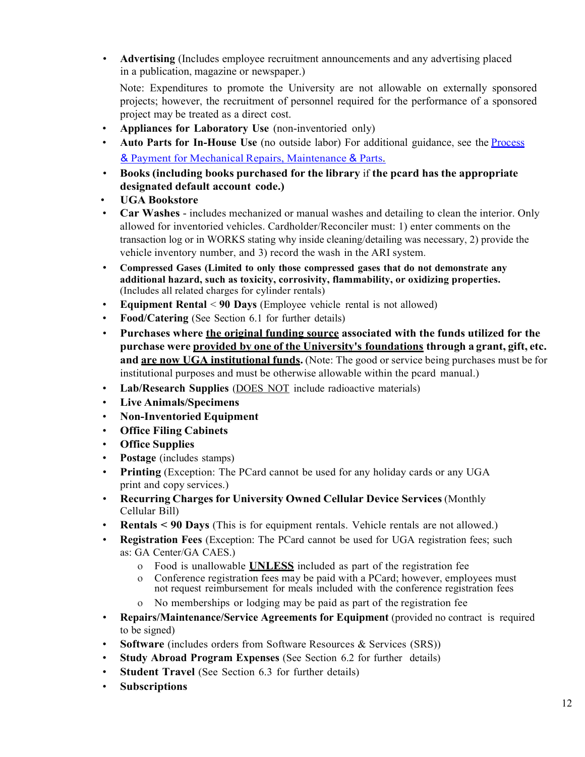• **Advertising** (Includes employee recruitment announcements and any advertising placed in a publication, magazine or newspaper.)

Note: Expenditures to promote the University are not allowable on externally sponsored projects; however, the recruitment of personnel required for the performance of a sponsored project may be treated as a direct cost.

- **Appliances for Laboratory Use** (non-inventoried only)
- **Auto Parts for In-House Use** (no outside labor) For additional guidance, see the **[Process](https://busfin.uga.edu/procurement/pdf/PCard_Vehicle_Clarification.pdf)** & Payment for Mechanical Repairs, [Maintenance](https://busfin.uga.edu/procurement/pdf/PCard_Vehicle_Clarification.pdf) & Parts.
- **Books (including books purchased for the library** if **the pcard has the appropriate designated default account code.)**
- **UGA Bookstore**
- **Car Washes**  includes mechanized or manual washes and detailing to clean the interior. Only allowed for inventoried vehicles. Cardholder/Reconciler must: 1) enter comments on the transaction log or in WORKS stating why inside cleaning/detailing was necessary, 2) provide the vehicle inventory number, and 3) record the wash in the ARI system.
- **Compressed Gases (Limited to only those compressed gases that do not demonstrate any additional hazard, such as toxicity, corrosivity, flammability, or oxidizing properties.** (Includes all related charges for cylinder rentals)
- **Equipment Rental** < **90 Days** (Employee vehicle rental is not allowed)
- **Food/Catering** (See Section 6.1 for further details)
- **Purchases where the original funding source associated with the funds utilized for the purchase were provided by one of the University's foundations through a grant, gift, etc. and are now UGA institutional funds.** (Note: The good or service being purchases must be for institutional purposes and must be otherwise allowable within the pcard manual.)
- **Lab/Research Supplies** (DOES NOT include radioactive materials)
- **Live Animals/Specimens**
- **Non-Inventoried Equipment**
- **Office Filing Cabinets**
- **Office Supplies**
- **Postage** (includes stamps)
- **Printing** (Exception: The PCard cannot be used for any holiday cards or any UGA print and copy services.)
- **Recurring Charges for University Owned Cellular Device Services** (Monthly Cellular Bill)
- **Rentals < 90 Days** (This is for equipment rentals. Vehicle rentals are not allowed.)
- **Registration Fees** (Exception: The PCard cannot be used for UGA registration fees; such as: GA Center/GA CAES.)
	- o Food is unallowable **UNLESS** included as part of the registration fee
	- o Conference registration fees may be paid with a PCard; however, employees must not request reimbursement for meals included with the conference registration fees
	- No memberships or lodging may be paid as part of the registration fee
- **Repairs/Maintenance/Service Agreements for Equipment** (provided no contract is required to be signed)
- **Software** (includes orders from Software Resources & Services (SRS))
- **Study Abroad Program Expenses** (See Section 6.2 for further details)
- **Student Travel** (See Section 6.3 for further details)
- **Subscriptions**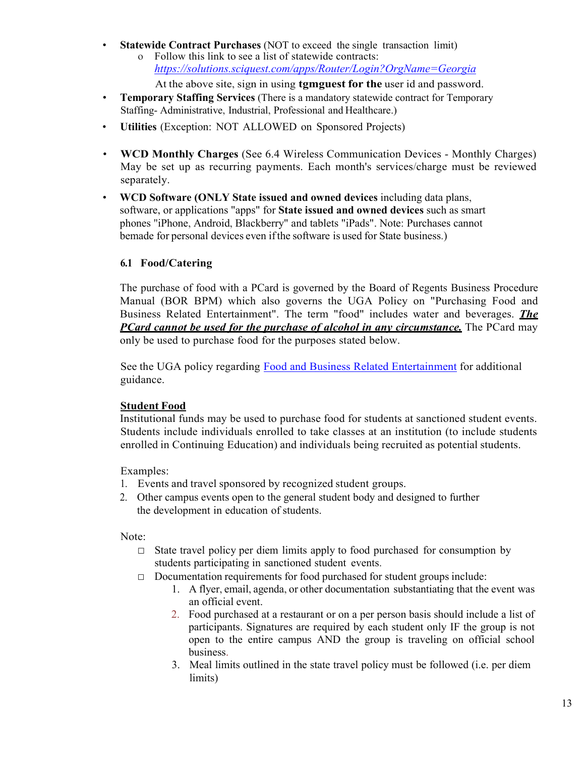• **Statewide Contract Purchases** (NOT to exceed the single transaction limit) o Follow this link to see a list of statewide contracts: *<https://solutions.sciquest.com/apps/Router/Login?OrgName=Georgia>*

At the above site, sign in using **tgmguest for the** user id and password.

- **Temporary Staffing Services** (There is a mandatory statewide contract for Temporary Staffing- Administrative, Industrial, Professional and Healthcare.)
- **Utilities** (Exception: NOT ALLOWED on Sponsored Projects)
- **WCD Monthly Charges** (See 6.4 Wireless Communication Devices Monthly Charges) May be set up as recurring payments. Each month's services/charge must be reviewed separately.
- **WCD Software (ONLY State issued and owned devices** including data plans, software, or applications "apps" for **State issued and owned devices** such as smart phones "iPhone, Android, Blackberry" and tablets "iPads". Note: Purchases cannot bemade for personal devices even ifthe software is used for State business.)

# **6.1 Food/Catering**

The purchase of food with a PCard is governed by the Board of Regents Business Procedure Manual (BOR BPM) which also governs the UGA Policy on "Purchasing Food and Business Related Entertainment". The term "food" includes water and beverages. *The PCard cannot be used for the purchase of alcohol in any circumstance.* The PCard may only be used to purchase food for the purposes stated below.

See the UGA policy regarding Food and Business Related [Entertainment](https://policies.uga.edu/Purchasing-and-Payment-Processing/Unique-Purchasing-and-Payment-Processes-for-Specif/Food-and-Business-Related-Entertainment/) for additional guidance.

#### **Student Food**

Institutional funds may be used to purchase food for students at sanctioned student events. Students include individuals enrolled to take classes at an institution (to include students enrolled in Continuing Education) and individuals being recruited as potential students.

Examples:

- 1. Events and travel sponsored by recognized student groups.
- 2. Other campus events open to the general student body and designed to further the development in education of students.

Note:

- $\Box$  State travel policy per diem limits apply to food purchased for consumption by students participating in sanctioned student events.
- □ Documentation requirements for food purchased for student groups include:
	- 1. A flyer, email, agenda, or other documentation substantiating that the event was an official event.
	- 2. Food purchased at a restaurant or on a per person basis should include a list of participants. Signatures are required by each student only IF the group is not open to the entire campus AND the group is traveling on official school business.
	- 3. Meal limits outlined in the state travel policy must be followed (i.e. per diem limits)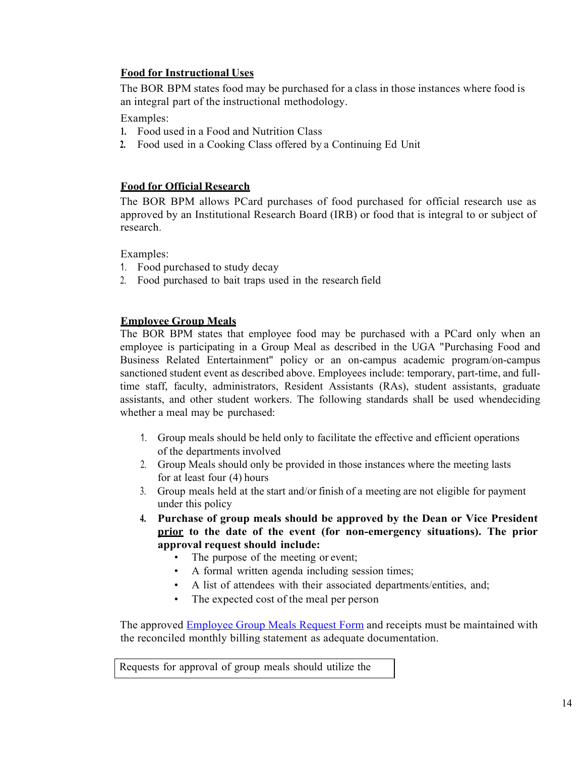# **Food for Instructional Uses**

The BOR BPM states food may be purchased for a class in those instances where food is an integral part of the instructional methodology.

Examples:

- **1.** Food used in a Food and Nutrition Class
- **2.** Food used in a Cooking Class offered by a Continuing Ed Unit

# **Food for Official Research**

The BOR BPM allows PCard purchases of food purchased for official research use as approved by an Institutional Research Board (IRB) or food that is integral to or subject of research.

Examples:

- 1. Food purchased to study decay
- 2. Food purchased to bait traps used in the research field

# **Employee Group Meals**

The BOR BPM states that employee food may be purchased with a PCard only when an employee is participating in a Group Meal as described in the UGA "Purchasing Food and Business Related Entertainment" policy or an on-campus academic program/on-campus sanctioned student event as described above. Employees include: temporary, part-time, and fulltime staff, faculty, administrators, Resident Assistants (RAs), student assistants, graduate assistants, and other student workers. The following standards shall be used whendeciding whether a meal may be purchased:

- 1. Group meals should be held only to facilitate the effective and efficient operations of the departments involved
- 2. Group Meals should only be provided in those instances where the meeting lasts for at least four (4) hours
- 3. Group meals held at the start and/or finish of a meeting are not eligible for payment under this policy
- **4. Purchase of group meals should be approved by the Dean or Vice President prior to the date of the event (for non-emergency situations). The prior approval request should include:**
	- The purpose of the meeting or event;
	- A formal written agenda including session times;
	- A list of attendees with their associated departments/entities, and;
	- The expected cost of the meal per person

The approved [Employee](http://www.busfin.uga.edu/forms/group_meals.pdf) Group Meals Request Form and receipts must be maintained with the reconciled monthly billing statement as adequate documentation.

Requests for approval of group meals should utilize the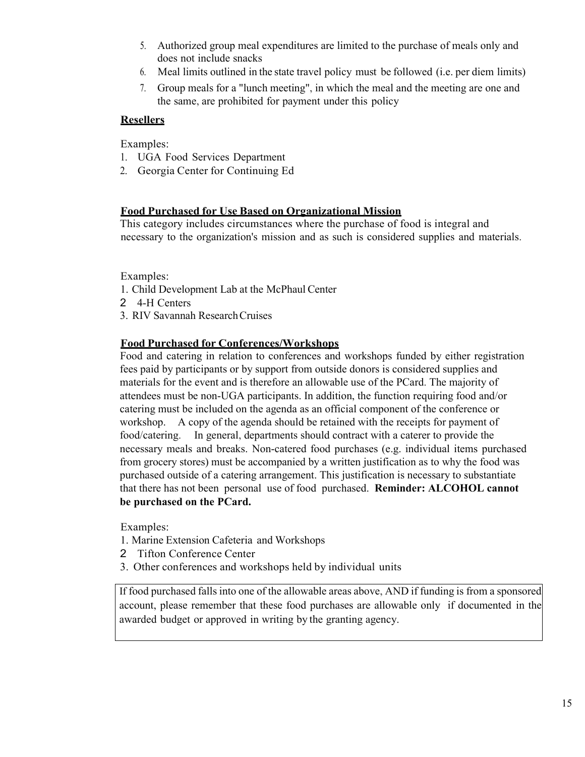- 5. Authorized group meal expenditures are limited to the purchase of meals only and does not include snacks
- 6. Meal limits outlined in the state travel policy must be followed (i.e. per diem limits)
- 7. Group meals for a "lunch meeting", in which the meal and the meeting are one and the same, are prohibited for payment under this policy

#### **Resellers**

Examples:

- 1. UGA Food Services Department
- 2. Georgia Center for Continuing Ed

#### **Food Purchased for Use Based on Organizational Mission**

This category includes circumstances where the purchase of food is integral and necessary to the organization's mission and as such is considered supplies and materials.

Examples:

- 1. Child Development Lab at the McPhaul Center
- 2 4-H Centers
- 3. RIV Savannah ResearchCruises

#### **Food Purchased for Conferences/Workshops**

Food and catering in relation to conferences and workshops funded by either registration fees paid by participants or by support from outside donors is considered supplies and materials for the event and is therefore an allowable use of the PCard. The majority of attendees must be non-UGA participants. In addition, the function requiring food and/or catering must be included on the agenda as an official component of the conference or workshop. A copy of the agenda should be retained with the receipts for payment of food/catering. In general, departments should contract with a caterer to provide the necessary meals and breaks. Non-catered food purchases (e.g. individual items purchased from grocery stores) must be accompanied by a written justification as to why the food was purchased outside of a catering arrangement. This justification is necessary to substantiate that there has not been personal use of food purchased. **Reminder: ALCOHOL cannot be purchased on the PCard.**

Examples:

- 1. Marine Extension Cafeteria and Workshops
- 2 Tifton Conference Center
- 3. Other conferences and workshops held by individual units

If food purchased falls into one of the allowable areas above, AND if funding is from a sponsored account, please remember that these food purchases are allowable only if documented in the awarded budget or approved in writing by the granting agency.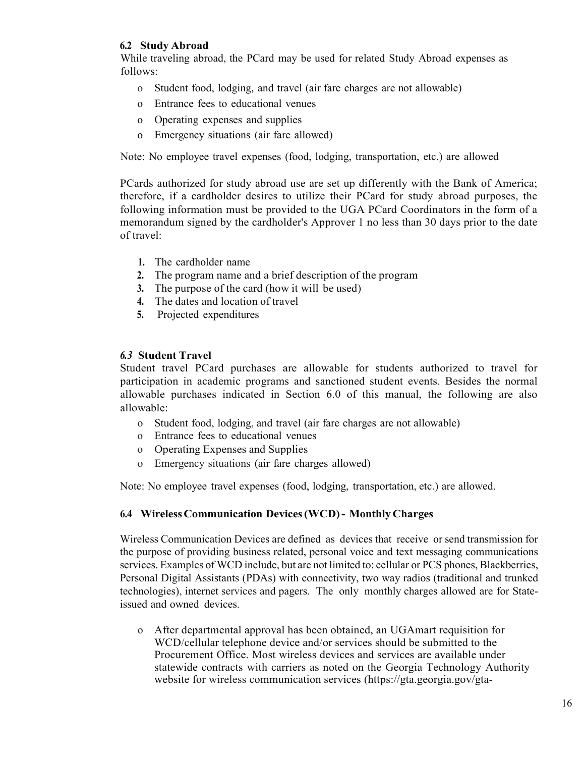#### **6.2 Study Abroad**

While traveling abroad, the PCard may be used for related Study Abroad expenses as follows:

- o Student food, lodging, and travel (air fare charges are not allowable)
- o Entrance fees to educational venues
- o Operating expenses and supplies
- o Emergency situations (air fare allowed)

Note: No employee travel expenses (food, lodging, transportation, etc.) are allowed

PCards authorized for study abroad use are set up differently with the Bank of America; therefore, if a cardholder desires to utilize their PCard for study abroad purposes, the following information must be provided to the UGA PCard Coordinators in the form of a memorandum signed by the cardholder's Approver 1 no less than 30 days prior to the date of travel:

- **1.** The cardholder name
- **2.** The program name and a brief description of the program
- **3.** The purpose of the card (how it will be used)
- **4.** The dates and location of travel
- **5.** Projected expenditures

#### *6.3* **Student Travel**

Student travel PCard purchases are allowable for students authorized to travel for participation in academic programs and sanctioned student events. Besides the normal allowable purchases indicated in Section 6.0 of this manual, the following are also allowable:

- o Student food, lodging, and travel (air fare charges are not allowable)
- o Entrance fees to educational venues
- o Operating Expenses and Supplies
- o Emergency situations (air fare charges allowed)

Note: No employee travel expenses (food, lodging, transportation, etc.) are allowed.

#### **6.4 WirelessCommunication Devices(WCD)- Monthly Charges**

Wireless Communication Devices are defined as devices that receive or send transmission for the purpose of providing business related, personal voice and text messaging communications services. Examples of WCD include, but are not limited to: cellular or PCS phones, Blackberries, Personal Digital Assistants (PDAs) with connectivity, two way radios (traditional and trunked technologies), internet services and pagers. The only monthly charges allowed are for Stateissued and owned devices.

o After departmental approval has been obtained, an UGAmart requisition for WCD/cellular telephone device and/or services should be submitted to the Procurement Office. Most wireless devices and services are available under statewide contracts with carriers as noted on the Georgia Technology Authority website for wireless communication services [\(https://gta.georgia.gov/gta-](https://gta.georgia.gov/gta-services/gta-direct-services/mobility-devices-and-services)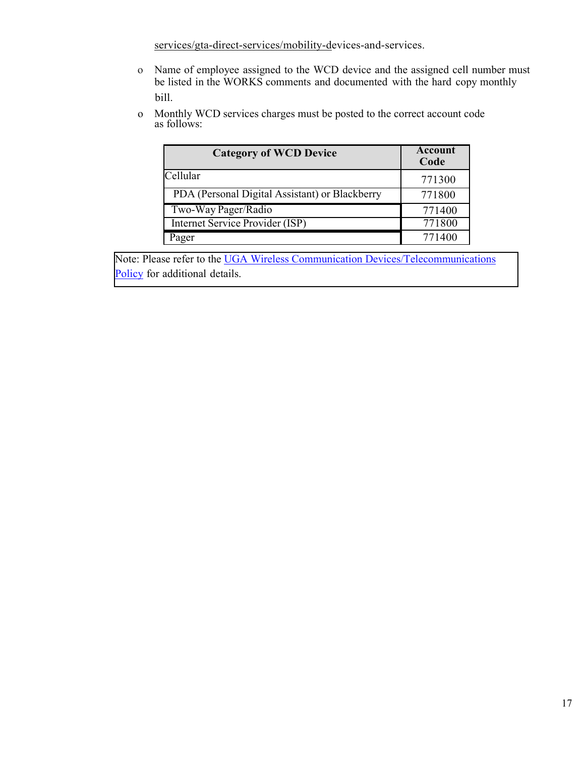[services/gta-direct-services/mobility-devices-and-services.](https://gta.georgia.gov/gta-services/gta-direct-services/mobility-devices-and-services)

- o Name of employee assigned to the WCD device and the assigned cell number must be listed in the WORKS comments and documented with the hard copy monthly bill.
- o Monthly WCD services charges must be posted to the correct account code as follows:

| <b>Category of WCD Device</b>                  | Account<br>Code |
|------------------------------------------------|-----------------|
| Cellular                                       | 771300          |
| PDA (Personal Digital Assistant) or Blackberry | 771800          |
| Two-Way Pager/Radio                            | 771400          |
| Internet Service Provider (ISP)                | 771800          |
| Pager                                          | 771400          |

Note: Please refer to the [UGA Wireless Communication Devices/Telecommunications](https://policies.uga.edu/Purchasing-and-Payment-Processing/Unique-Purchasing-and-Payment-Processes-for-Specif/Wireless-Communication-Devices-Telecommunications/) [Policy](https://policies.uga.edu/Purchasing-and-Payment-Processing/Unique-Purchasing-and-Payment-Processes-for-Specif/Wireless-Communication-Devices-Telecommunications/) for additional details.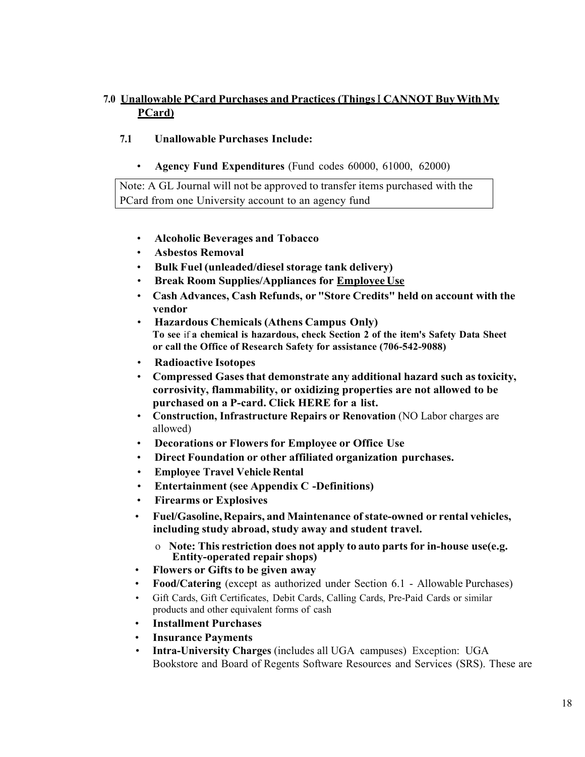# **7.0 Unallowable PCard Purchases and Practices (Things**I **CANNOT BuyWithMy PCard)**

- **7.1 Unallowable Purchases Include:**
	- **Agency Fund Expenditures** (Fund codes 60000, 61000, 62000)

Note: A GL Journal will not be approved to transfer items purchased with the PCard from one University account to an agency fund

- **Alcoholic Beverages and Tobacco**
- **Asbestos Removal**
- **Bulk Fuel (unleaded/diesel storage tank delivery)**
- **Break Room Supplies/Appliances for EmployeeUse**
- **Cash Advances, Cash Refunds, or "Store Credits" held on account with the vendor**
- **Hazardous Chemicals (Athens Campus Only) To see** if **a chemical is hazardous, check Section 2 of the item's Safety Data Sheet or call the Office of Research Safety for assistance (706-542-9088)**
- **Radioactive Isotopes**
- **Compressed Gasesthat demonstrate any additional hazard such astoxicity, corrosivity, flammability, or oxidizing properties are not allowed to be purchased on a P-card. Click HERE for a list.**
- **Construction, Infrastructure Repairs or Renovation** (NO Labor charges are allowed)
- **Decorations or Flowersfor Employee or Office Use**
- **Direct Foundation or other affiliated organization purchases.**
- **Employee Travel Vehicle Rental**
- **Entertainment (see Appendix C -Definitions)**
- **Firearms or Explosives**
- **Fuel/Gasoline,Repairs, and Maintenance ofstate-owned or rental vehicles, including study abroad, study away and student travel.**
	- o **Note: This restriction does not apply to auto parts for in-house use(e.g. Entity-operated repair shops)**
- **Flowers or Gifts to be given away**
- **Food/Catering** (except as authorized under Section 6.1 Allowable Purchases)
- Gift Cards, Gift Certificates, Debit Cards, Calling Cards, Pre-Paid Cards or similar products and other equivalent forms of cash
- **Installment Purchases**
- **Insurance Payments**
- **Intra-University Charges** (includes all UGA campuses) Exception: UGA Bookstore and Board of Regents Software Resources and Services (SRS). These are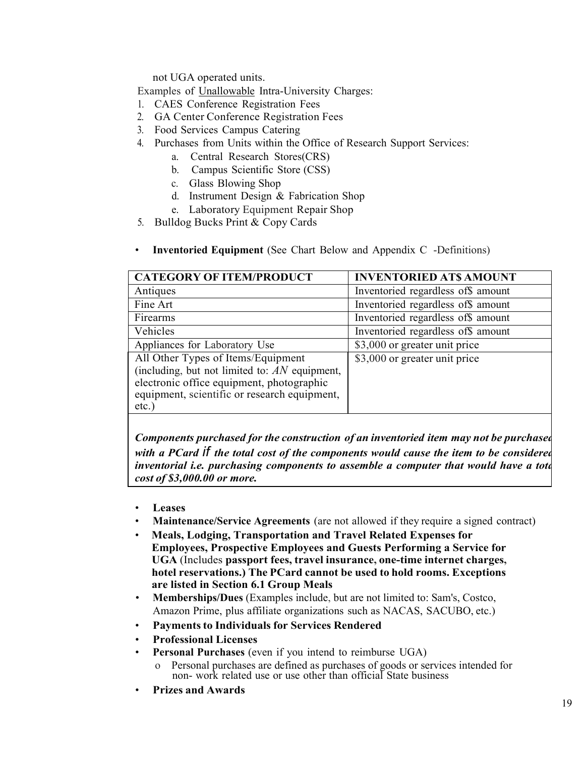not UGA operated units.

- Examples of Unallowable Intra-University Charges:
- 1. CAES Conference Registration Fees
- 2. GA Center Conference Registration Fees
- 3. Food Services Campus Catering
- 4. Purchases from Units within the Office of Research Support Services:
	- a. Central Research Stores(CRS)
	- b. Campus Scientific Store (CSS)
	- c. Glass Blowing Shop
	- d. Instrument Design & Fabrication Shop
	- e. Laboratory Equipment Repair Shop
- 5. Bulldog Bucks Print & Copy Cards
- **Inventoried Equipment** (See Chart Below and Appendix C -Definitions)

| <b>CATEGORY OF ITEM/PRODUCT</b>                                                                                                                                                                | <b>INVENTORIED AT\$ AMOUNT</b>     |
|------------------------------------------------------------------------------------------------------------------------------------------------------------------------------------------------|------------------------------------|
| Antiques                                                                                                                                                                                       | Inventoried regardless of\$ amount |
| Fine Art                                                                                                                                                                                       | Inventoried regardless of\$ amount |
| Firearms                                                                                                                                                                                       | Inventoried regardless of\$ amount |
| Vehicles                                                                                                                                                                                       | Inventoried regardless of\$ amount |
| Appliances for Laboratory Use                                                                                                                                                                  | \$3,000 or greater unit price      |
| All Other Types of Items/Equipment<br>(including, but not limited to: $AN$ equipment,<br>electronic office equipment, photographic<br>equipment, scientific or research equipment,<br>$etc.$ ) | \$3,000 or greater unit price      |

*Components purchased for the construction of an inventoried item may not be purchased with a PCard if the total cost of the components would cause the item to be considered inventorial i.e. purchasing components to assemble a computer that would have a tota cost of \$3,000.00 or more.*

- **Leases**
- **Maintenance/Service Agreements** (are not allowed if they require a signed contract)
- **Meals, Lodging, Transportation and Travel Related Expenses for Employees, Prospective Employees and Guests Performing a Service for UGA** (Includes **passport fees, travel insurance, one-time internet charges, hotel reservations.) The PCard cannot be used to hold rooms. Exceptions are listed in Section 6.1 Group Meals**
- **Memberships/Dues** (Examples include, but are not limited to: Sam's, Costco, Amazon Prime, plus affiliate organizations such as NACAS, SACUBO, etc.)
- **Paymentsto Individuals for Services Rendered**
- **Professional Licenses**
- **Personal Purchases** (even if you intend to reimburse UGA)
	- Personal purchases are defined as purchases of goods or services intended for non- work related use or use other than official State business
- **Prizes and Awards**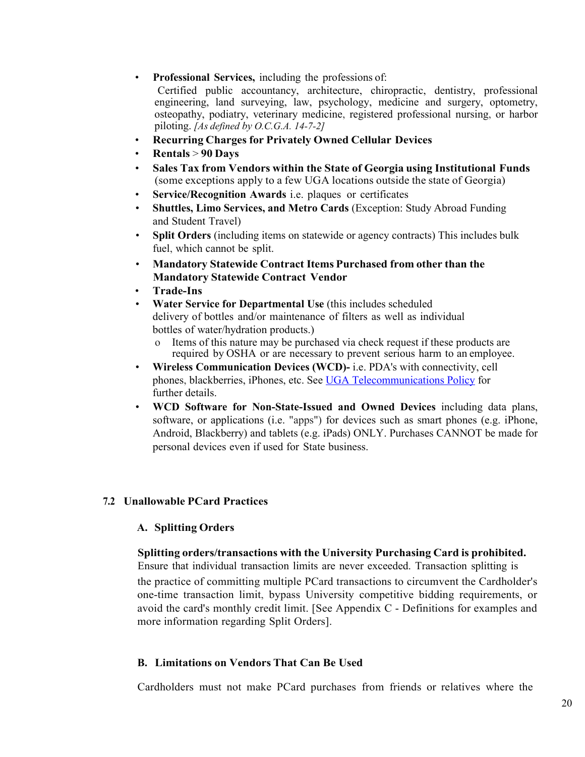#### • **Professional Services,** including the professions of:

Certified public accountancy, architecture, chiropractic, dentistry, professional engineering, land surveying, law, psychology, medicine and surgery, optometry, osteopathy, podiatry, veterinary medicine, registered professional nursing, or harbor piloting. *[As defined by O.C.G.A. 14-7-2]*

- **Recurring Charges for Privately Owned Cellular Devices**
- **Rentals** > **90 Days**
- **Sales Tax from Vendors within the State of Georgia using Institutional Funds** (some exceptions apply to a few UGA locations outside the state of Georgia)
- **Service/Recognition Awards** i.e. plaques or certificates
- **Shuttles, Limo Services, and Metro Cards** (Exception: Study Abroad Funding and Student Travel)
- **Split Orders** (including items on statewide or agency contracts) This includes bulk fuel, which cannot be split.
- **Mandatory Statewide Contract Items Purchased from other than the Mandatory Statewide Contract Vendor**
- **Trade-Ins**
- **Water Service for Departmental Use** (this includes scheduled delivery of bottles and/or maintenance of filters as well as individual bottles of water/hydration products.)
	- o Items of this nature may be purchased via check request if these products are required by OSHA or are necessary to prevent serious harm to an employee.
- **Wireless Communication Devices (WCD)-** i.e. PDA's with connectivity, cell phones, blackberries, iPhones, etc. See [UGA Telecommunications Policy](https://policies.uga.edu/Purchasing-and-Payment-Processing/Unique-Purchasing-and-Payment-Processes-for-Specif/Wireless-Communication-Devices-Telecommunications/) for further details.
- **WCD Software for Non-State-Issued and Owned Devices** including data plans, software, or applications (i.e. "apps") for devices such as smart phones (e.g. iPhone, Android, Blackberry) and tablets (e.g. iPads) ONLY. Purchases CANNOT be made for personal devices even if used for State business.

# **7.2 Unallowable PCard Practices**

# **A. Splitting Orders**

#### **Splitting orders/transactions with the University Purchasing Card is prohibited.**

Ensure that individual transaction limits are never exceeded. Transaction splitting is the practice of committing multiple PCard transactions to circumvent the Cardholder's one-time transaction limit, bypass University competitive bidding requirements, or avoid the card's monthly credit limit. [See Appendix C - Definitions for examples and more information regarding Split Orders].

#### **B. Limitations on Vendors That Can Be Used**

Cardholders must not make PCard purchases from friends or relatives where the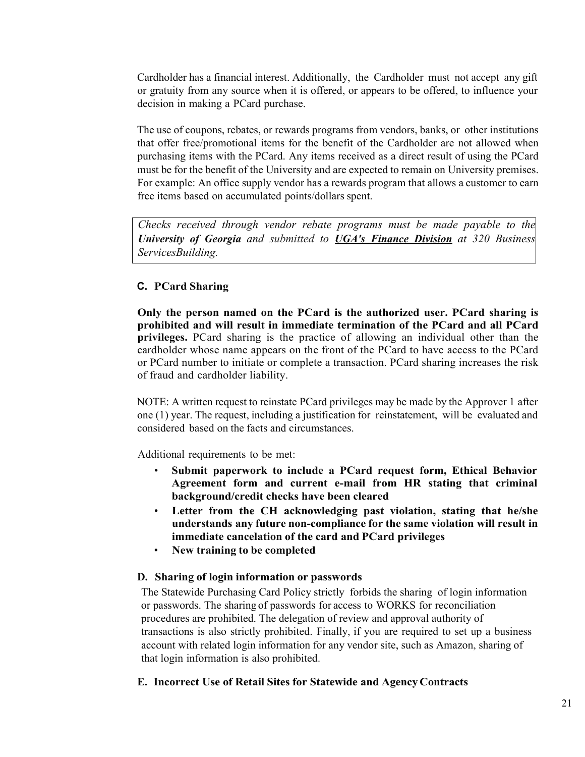Cardholder has a financial interest. Additionally, the Cardholder must not accept any gift or gratuity from any source when it is offered, or appears to be offered, to influence your decision in making a PCard purchase.

The use of coupons, rebates, or rewards programs from vendors, banks, or other institutions that offer free/promotional items for the benefit of the Cardholder are not allowed when purchasing items with the PCard. Any items received as a direct result of using the PCard must be for the benefit of the University and are expected to remain on University premises. For example: An office supply vendor has a rewards program that allows a customer to earn free items based on accumulated points/dollars spent.

*Checks received through vendor rebate programs must be made payable to the University of Georgia and submitted to UGA's Finance Division at 320 Business ServicesBuilding.*

# **C. PCard Sharing**

**Only the person named on the PCard is the authorized user. PCard sharing is prohibited and will result in immediate termination of the PCard and all PCard privileges.** PCard sharing is the practice of allowing an individual other than the cardholder whose name appears on the front of the PCard to have access to the PCard or PCard number to initiate or complete a transaction. PCard sharing increases the risk of fraud and cardholder liability.

NOTE: A written request to reinstate PCard privileges may be made by the Approver 1 after one (1) year. The request, including a justification for reinstatement, will be evaluated and considered based on the facts and circumstances.

Additional requirements to be met:

- **Submit paperwork to include a PCard request form, Ethical Behavior Agreement form and current e-mail from HR stating that criminal background/credit checks have been cleared**
- **Letter from the CH acknowledging past violation, stating that he/she understands any future non-compliance for the same violation will result in immediate cancelation of the card and PCard privileges**
- **New training to be completed**

#### **D. Sharing of login information or passwords**

The Statewide Purchasing Card Policy strictly forbids the sharing of login information or passwords. The sharing of passwords for access to WORKS for reconciliation procedures are prohibited. The delegation of review and approval authority of transactions is also strictly prohibited. Finally, if you are required to set up a business account with related login information for any vendor site, such as Amazon, sharing of that login information is also prohibited.

#### **E. Incorrect Use of Retail Sites for Statewide and Agency Contracts**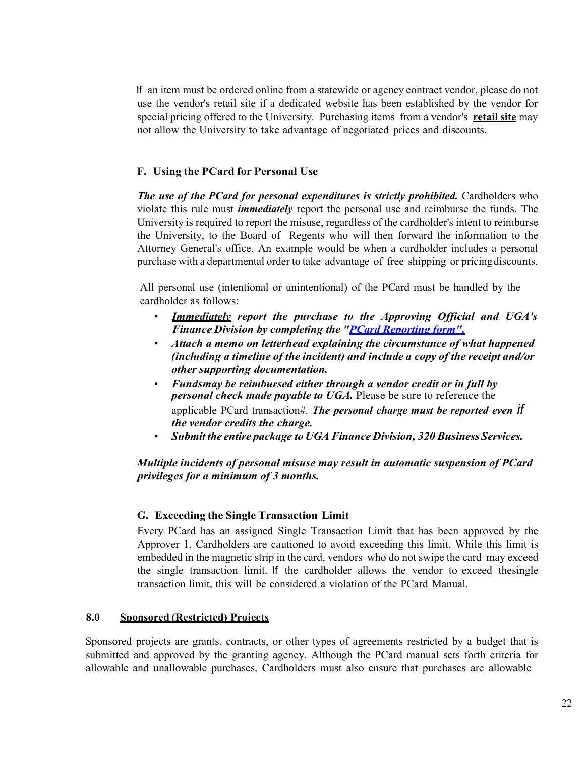If an item must be ordered online from a statewide or agency contract vendor, please do not use the vendor's retail site if a dedicated website has been established by the vendor for special pricing offered to the University. Purchasing items from a vendor's **retail site** may not allow the University to take advantage of negotiated prices and discounts.

#### **F. Using the PCard for Personal Use**

*The use of the PCard for personal expenditures is strictly prohibited.* **Cardholders who** violate this rule must *immediately* report the personal use and reimburse the funds. The University is required to report the misuse, regardless of the cardholder's intent to reimburse the University, to the Board of Regents who will then forward the information to the Attorney General's office. An example would be when a cardholder includes a personal purchase with a departmental order to take advantage of free shipping or pricingdiscounts.

All personal use (intentional or unintentional) of the PCard must be handled by the cardholder as follows:

- *Immediately report the purchase to the Approving Official and UGA's Finance Division by completing the "PCard [Reporting](http://www.busfin.uga.edu/forms/P-CardReporting.pdf) form".*
- *Attach a memo on letterhead explaining the circumstance of what happened (including a timeline of the incident) and include a copy of the receipt and/or other supporting documentation.*
- *Fundsmay be reimbursed either through a vendor credit or in full by personal check made payable to UGA.* Please be sure to reference the applicable PCard transaction#. *The personal charge must be reported even if the vendor credits the charge.*
- *Submit the entire package to UGAFinance Division, 320 BusinessServices.*

#### *Multiple incidents of personal misuse may result in automatic suspension of PCard privileges for a minimum of 3 months.*

#### **G. Exceeding the Single Transaction Limit**

Every PCard has an assigned Single Transaction Limit that has been approved by the Approver 1. Cardholders are cautioned to avoid exceeding this limit. While this limit is embedded in the magnetic strip in the card, vendors who do not swipe the card may exceed the single transaction limit. If the cardholder allows the vendor to exceed thesingle transaction limit, this will be considered a violation of the PCard Manual.

#### **8.0 Sponsored (Restricted) Projects**

Sponsored projects are grants, contracts, or other types of agreements restricted by a budget that is submitted and approved by the granting agency. Although the PCard manual sets forth criteria for allowable and unallowable purchases, Cardholders must also ensure that purchases are allowable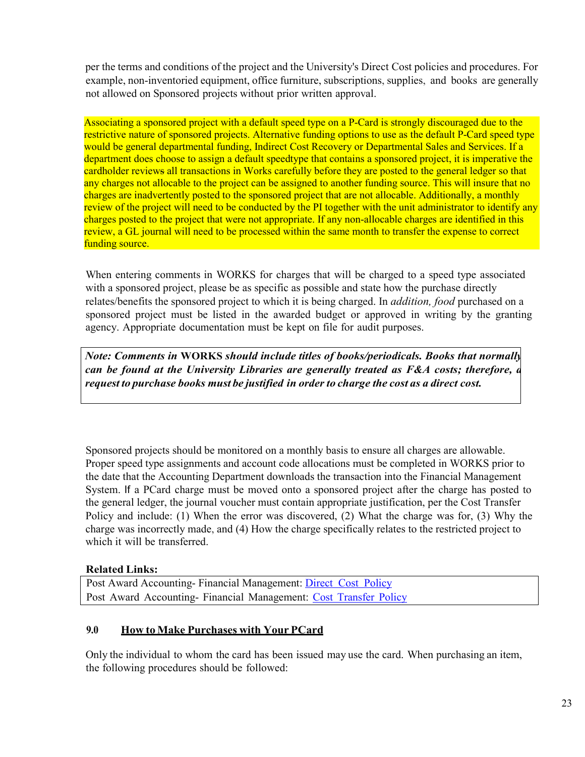per the terms and conditions of the project and the University's Direct Cost policies and procedures. For example, non-inventoried equipment, office furniture, subscriptions, supplies, and books are generally not allowed on Sponsored projects without prior written approval.

Associating a sponsored project with a default speed type on a P-Card is strongly discouraged due to the restrictive nature of sponsored projects. Alternative funding options to use as the default P-Card speed type would be general departmental funding, Indirect Cost Recovery or Departmental Sales and Services. If a department does choose to assign a default speedtype that contains a sponsored project, it is imperative the cardholder reviews all transactions in Works carefully before they are posted to the general ledger so that any charges not allocable to the project can be assigned to another funding source. This will insure that no charges are inadvertently posted to the sponsored project that are not allocable. Additionally, a monthly review of the project will need to be conducted by the PI together with the unit administrator to identify any charges posted to the project that were not appropriate. If any non-allocable charges are identified in this review, a GL journal will need to be processed within the same month to transfer the expense to correct funding source.

When entering comments in WORKS for charges that will be charged to a speed type associated with a sponsored project, please be as specific as possible and state how the purchase directly relates/benefits the sponsored project to which it is being charged. In *addition, food* purchased on a sponsored project must be listed in the awarded budget or approved in writing by the granting agency. Appropriate documentation must be kept on file for audit purposes.

*Note: Comments in* **WORKS** *should include titles of books/periodicals. Books that normally can be found at the University Libraries are generally treated as F&A costs; therefore, a request to purchase books must be justified in order to charge the cost as a direct cost.*

Sponsored projects should be monitored on a monthly basis to ensure all charges are allowable. Proper speed type assignments and account code allocations must be completed in WORKS prior to the date that the Accounting Department downloads the transaction into the Financial Management System. If a PCard charge must be moved onto a sponsored project after the charge has posted to the general ledger, the journal voucher must contain appropriate justification, per the Cost Transfer Policy and include: (1) When the error was discovered, (2) What the charge was for, (3) Why the charge was incorrectly made, and (4) How the charge specifically relates to the restricted project to which it will be transferred.

# **Related Links:**

Post Award Accounting- Financial Management: Direct Cost [Policy](https://policies.uga.edu/Finance/Post-Award-Accounting/Direct-Cost/) Post Award Accounting- Financial Management: Cost [Transfer](https://policies.uga.edu/Finance/Post-Award-Accounting/Cost-Transfer/) Policy

# **9.0 How toMake Purchases with YourPCard**

Only the individual to whom the card has been issued may use the card. When purchasing an item, the following procedures should be followed: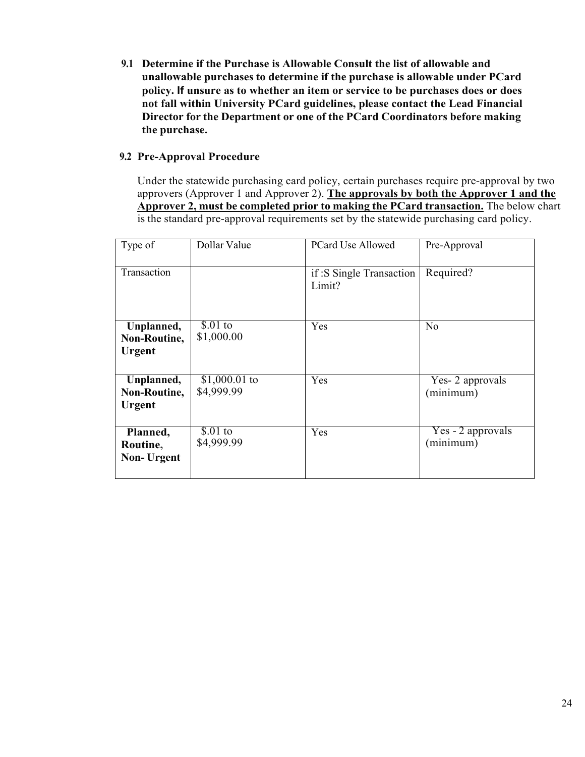**9.1 Determine if the Purchase is Allowable Consult the list of allowable and unallowable purchases to determine if the purchase is allowable under PCard policy. If unsure as to whether an item or service to be purchases does or does not fall within University PCard guidelines, please contact the Lead Financial Director for the Department or one of the PCard Coordinators before making the purchase.**

#### **9.2 Pre-Approval Procedure**

Under the statewide purchasing card policy, certain purchases require pre-approval by two approvers (Approver 1 and Approver 2). **The approvals by both the Approver 1 and the Approver 2, must be completed prior to making the PCard transaction.** The below chart is the standard pre-approval requirements set by the statewide purchasing card policy.

| Type of                                     | Dollar Value                 | <b>PCard Use Allowed</b>           | Pre-Approval                   |
|---------------------------------------------|------------------------------|------------------------------------|--------------------------------|
| Transaction                                 |                              | if: S Single Transaction<br>Limit? | Required?                      |
| Unplanned,<br>Non-Routine,<br><b>Urgent</b> | $$.01$ to<br>\$1,000.00      | Yes                                | N <sub>o</sub>                 |
| Unplanned,<br>Non-Routine,<br><b>Urgent</b> | $$1,000.01$ to<br>\$4,999.99 | Yes                                | Yes- 2 approvals<br>(minimum)  |
| Planned,<br>Routine,<br><b>Non-Urgent</b>   | $$.01$ to<br>\$4,999.99      | Yes                                | Yes - 2 approvals<br>(minimum) |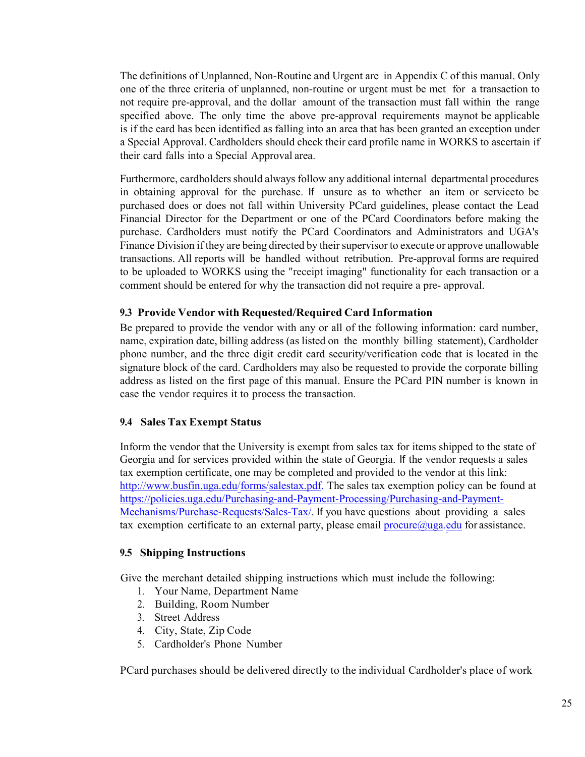The definitions of Unplanned, Non-Routine and Urgent are in Appendix C of this manual. Only one of the three criteria of unplanned, non-routine or urgent must be met for a transaction to not require pre-approval, and the dollar amount of the transaction must fall within the range specified above. The only time the above pre-approval requirements maynot be applicable is if the card has been identified as falling into an area that has been granted an exception under a Special Approval. Cardholders should check their card profile name in WORKS to ascertain if their card falls into a Special Approval area.

Furthermore, cardholders should always follow any additional internal departmental procedures in obtaining approval for the purchase. If unsure as to whether an item or serviceto be purchased does or does not fall within University PCard guidelines, please contact the Lead Financial Director for the Department or one of the PCard Coordinators before making the purchase. Cardholders must notify the PCard Coordinators and Administrators and UGA's Finance Division if they are being directed by their supervisor to execute or approve unallowable transactions. All reports will be handled without retribution. Pre-approval forms are required to be uploaded to WORKS using the "receipt imaging" functionality for each transaction or a comment should be entered for why the transaction did not require a pre- approval.

#### **9.3 Provide Vendor with Requested/Required Card Information**

Be prepared to provide the vendor with any or all of the following information: card number, name, expiration date, billing address (as listed on the monthly billing statement), Cardholder phone number, and the three digit credit card security/verification code that is located in the signature block of the card. Cardholders may also be requested to provide the corporate billing address as listed on the first page of this manual. Ensure the PCard PIN number is known in case the vendor requires it to process the transaction.

#### **9.4 Sales Tax Exempt Status**

Inform the vendor that the University is exempt from sales tax for items shipped to the state of Georgia and for services provided within the state of Georgia. If the vendor requests a sales tax exemption certificate, one may be completed and provided to the vendor at this link: [http://www.busfin.uga.edu/forms/salestax.pdf.](http://www.busfin.uga.edu/forms/salestax.pdf) The sales tax exemption policy can be found at [https://policies.uga.edu/Purchasing-and-Payment-Processing/Purchasing-and-Payment-](https://policies.uga.edu/Purchasing-and-Payment-Processing/Purchasing-and-Payment-%20Mechanisms/Purchase-Requests/Sales-Tax/)[Mechanisms/Purchase-Requests/Sales-Tax/.](https://policies.uga.edu/Purchasing-and-Payment-Processing/Purchasing-and-Payment-%20Mechanisms/Purchase-Requests/Sales-Tax/) If you have questions about providing a sales tax exemption certificate to an external party, please email  $\text{procedure}(\partial \text{uga.edu})$  for assistance.

#### **9.5 Shipping Instructions**

Give the merchant detailed shipping instructions which must include the following:

- 1. Your Name, Department Name
- 2. Building, Room Number
- 3. Street Address
- 4. City, State, Zip Code
- 5. Cardholder's Phone Number

PCard purchases should be delivered directly to the individual Cardholder's place of work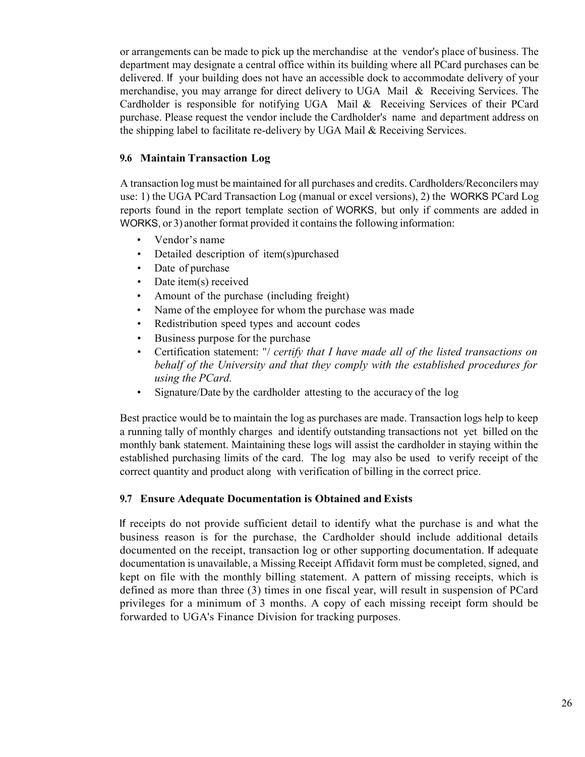or arrangements can be made to pick up the merchandise at the vendor's place of business. The department may designate a central office within its building where all PCard purchases can be delivered. If your building does not have an accessible dock to accommodate delivery of your merchandise, you may arrange for direct delivery to UGA Mail & Receiving Services. The Cardholder is responsible for notifying UGA Mail & Receiving Services of their PCard purchase. Please request the vendor include the Cardholder's name and department address on the shipping label to facilitate re-delivery by UGA Mail & Receiving Services.

#### **9.6 Maintain Transaction Log**

A transaction log must be maintained for all purchases and credits. Cardholders/Reconcilers may use: 1) the UGA PCard Transaction Log (manual or excel versions), 2) the WORKS PCard Log reports found in the report template section of WORKS, but only if comments are added in WORKS, or 3) another format provided it contains the following information:

- Vendor's name
- Detailed description of item(s)purchased
- Date of purchase
- Date item(s) received
- Amount of the purchase (including freight)
- Name of the employee for whom the purchase was made
- Redistribution speed types and account codes
- Business purpose for the purchase
- Certification statement: "/ *certify that I have made all of the listed transactions on behalf of the University and that they comply with the established procedures for using the PCard.*
- Signature/Date by the cardholder attesting to the accuracy of the log

Best practice would be to maintain the log as purchases are made. Transaction logs help to keep a running tally of monthly charges and identify outstanding transactions not yet billed on the monthly bank statement. Maintaining these logs will assist the cardholder in staying within the established purchasing limits of the card. The log may also be used to verify receipt of the correct quantity and product along with verification of billing in the correct price.

#### **9.7 Ensure Adequate Documentation is Obtained andExists**

If receipts do not provide sufficient detail to identify what the purchase is and what the business reason is for the purchase, the Cardholder should include additional details documented on the receipt, transaction log or other supporting documentation. If adequate documentation is unavailable, a Missing Receipt Affidavit form must be completed, signed, and kept on file with the monthly billing statement. A pattern of missing receipts, which is defined as more than three (3) times in one fiscal year, will result in suspension of PCard privileges for a minimum of 3 months. A copy of each missing receipt form should be forwarded to UGA's Finance Division for tracking purposes.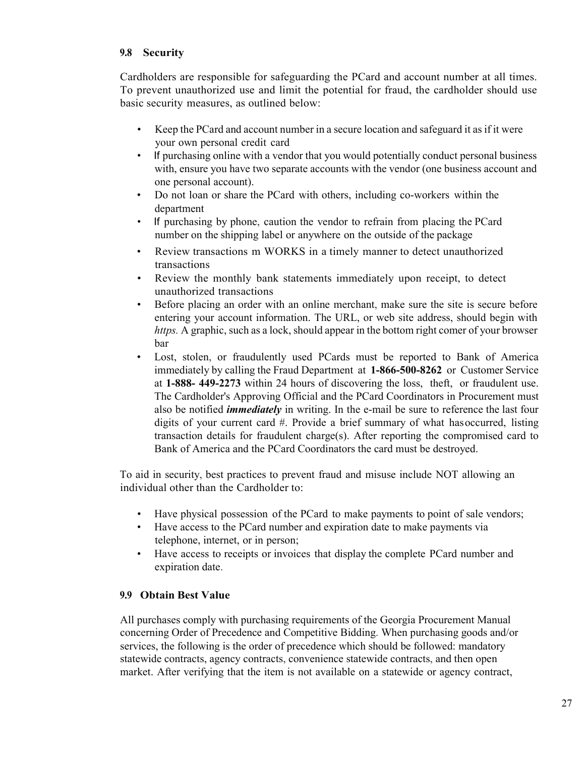#### **9.8 Security**

Cardholders are responsible for safeguarding the PCard and account number at all times. To prevent unauthorized use and limit the potential for fraud, the cardholder should use basic security measures, as outlined below:

- Keep the PCard and account number in a secure location and safeguard it as if it were your own personal credit card
- If purchasing online with a vendor that you would potentially conduct personal business with, ensure you have two separate accounts with the vendor (one business account and one personal account).
- Do not loan or share the PCard with others, including co-workers within the department
- If purchasing by phone, caution the vendor to refrain from placing the PCard number on the shipping label or anywhere on the outside of the package
- Review transactions m WORKS in a timely manner to detect unauthorized transactions
- Review the monthly bank statements immediately upon receipt, to detect unauthorized transactions
- Before placing an order with an online merchant, make sure the site is secure before entering your account information. The URL, or web site address, should begin with *https.* A graphic, such as a lock, should appear in the bottom right comer of your browser bar
- Lost, stolen, or fraudulently used PCards must be reported to Bank of America immediately by calling the Fraud Department at **1-866-500-8262** or Customer Service at **1-888- 449-2273** within 24 hours of discovering the loss, theft, or fraudulent use. The Cardholder's Approving Official and the PCard Coordinators in Procurement must also be notified *immediately* in writing. In the e-mail be sure to reference the last four digits of your current card #. Provide a brief summary of what hasoccurred, listing transaction details for fraudulent charge(s). After reporting the compromised card to Bank of America and the PCard Coordinators the card must be destroyed.

To aid in security, best practices to prevent fraud and misuse include NOT allowing an individual other than the Cardholder to:

- Have physical possession of the PCard to make payments to point of sale vendors;
- Have access to the PCard number and expiration date to make payments via telephone, internet, or in person;
- Have access to receipts or invoices that display the complete PCard number and expiration date.

# **9.9 Obtain Best Value**

All purchases comply with purchasing requirements of the Georgia Procurement Manual concerning Order of Precedence and Competitive Bidding. When purchasing goods and/or services, the following is the order of precedence which should be followed: mandatory statewide contracts, agency contracts, convenience statewide contracts, and then open market. After verifying that the item is not available on a statewide or agency contract,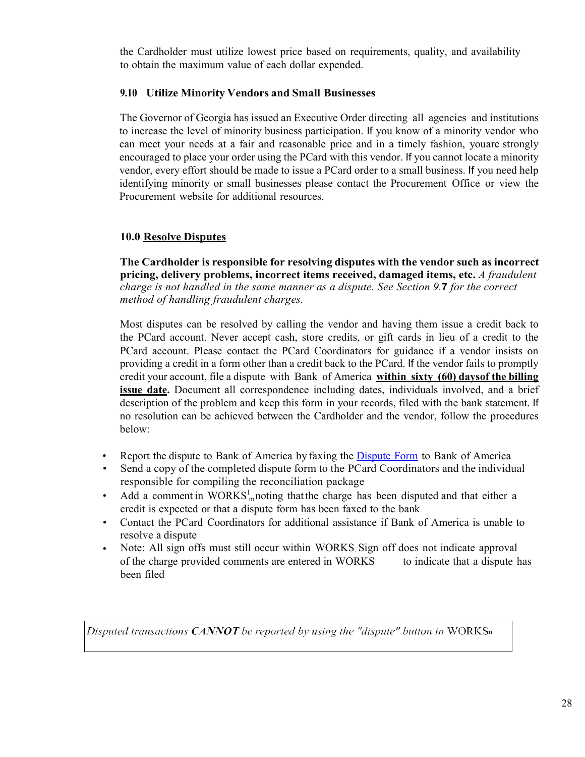the Cardholder must utilize lowest price based on requirements, quality, and availability to obtain the maximum value of each dollar expended.

# **9.10 Utilize Minority Vendors and Small Businesses**

The Governor of Georgia has issued an Executive Order directing all agencies and institutions to increase the level of minority business participation. If you know of a minority vendor who can meet your needs at a fair and reasonable price and in a timely fashion, youare strongly encouraged to place your order using the PCard with this vendor. If you cannot locate a minority vendor, every effort should be made to issue a PCard order to a small business. If you need help identifying minority or small businesses please contact the Procurement Office or view the Procurement website for additional resources.

# **10.0 Resolve Disputes**

**The Cardholder is responsible for resolving disputes with the vendor such as incorrect pricing, delivery problems, incorrect items received, damaged items, etc.** *A fraudulent charge is not handled in the same manner as a dispute. See Section 9.***7** *for the correct method of handling fraudulent charges.*

Most disputes can be resolved by calling the vendor and having them issue a credit back to the PCard account. Never accept cash, store credits, or gift cards in lieu of a credit to the PCard account. Please contact the PCard Coordinators for guidance if a vendor insists on providing a credit in a form other than a credit back to the PCard. If the vendor fails to promptly credit your account, file a dispute with Bank of America **within sixty (60) daysof the billing issue date.** Document all correspondence including dates, individuals involved, and a brief description of the problem and keep this form in your records, filed with the bank statement. If no resolution can be achieved between the Cardholder and the vendor, follow the procedures below:

- Report the dispute to Bank of America by faxing the [Dispute](http://www.busfin.uga.edu/forms/pcard_dispute.pdf) Form to Bank of America
- Send a copy of the completed dispute form to the PCard Coordinators and the individual responsible for compiling the reconciliation package
- Add a comment in  $WORKS<sub>m</sub><sup>1</sup>$  noting that the charge has been disputed and that either a credit is expected or that a dispute form has been faxed to the bank
- Contact the PCard Coordinators for additional assistance if Bank of America is unable to resolve a dispute
- Note: All sign offs must still occur within WORKS Sign off does not indicate approval of the charge provided comments are entered in WORKS been filed to indicate that a dispute has

Disputed transactions CANNOT be reported by using the "dispute" button in WORKS $n$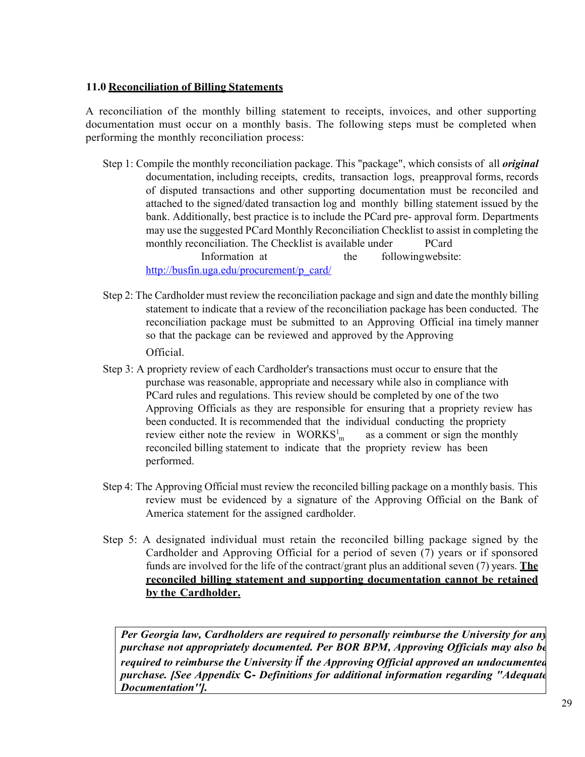#### **11.0 Reconciliation of Billing Statements**

A reconciliation of the monthly billing statement to receipts, invoices, and other supporting documentation must occur on a monthly basis. The following steps must be completed when performing the monthly reconciliation process:

- Step 1: Compile the monthly reconciliation package. This "package", which consists of all *original* documentation, including receipts, credits, transaction logs, preapproval forms, records of disputed transactions and other supporting documentation must be reconciled and attached to the signed/dated transaction log and monthly billing statement issued by the bank. Additionally, best practice is to include the PCard pre- approval form. Departments may use the suggested PCard Monthly Reconciliation Checklist to assist in completing the monthly reconciliation. The Checklist is available under PCard Information at the followingwebsite: [http://busfin.uga.edu/procurement/p\\_card/](http://busfin.uga.edu/procurement/p_card/)
- Step 2: The Cardholder must review the reconciliation package and sign and date the monthly billing statement to indicate that a review of the reconciliation package has been conducted. The reconciliation package must be submitted to an Approving Official ina timely manner so that the package can be reviewed and approved by the Approving Official.
- review either note the review in  $WORKS_{m}^{1}$  as a comment or sign the monthly Step 3: A propriety review of each Cardholder's transactions must occur to ensure that the purchase was reasonable, appropriate and necessary while also in compliance with PCard rules and regulations. This review should be completed by one of the two Approving Officials as they are responsible for ensuring that a propriety review has been conducted. It is recommended that the individual conducting the propriety reconciled billing statement to indicate that the propriety review has been performed.
- Step 4: The Approving Official must review the reconciled billing package on a monthly basis. This review must be evidenced by a signature of the Approving Official on the Bank of America statement for the assigned cardholder.
- Step 5: A designated individual must retain the reconciled billing package signed by the Cardholder and Approving Official for a period of seven (7) years or if sponsored funds are involved for the life of the contract/grant plus an additional seven (7) years. **The reconciled billing statement and supporting documentation cannot be retained by the Cardholder.**

*Per Georgia law, Cardholders are required to personally reimburse the University for any purchase not appropriately documented. Per BOR BPM, Approving Officials may also be required to reimburse the University if the Approving Official approved an undocumented purchase. [See Appendix* **C-** *Definitions for additional information regarding "Adequate Documentation''].*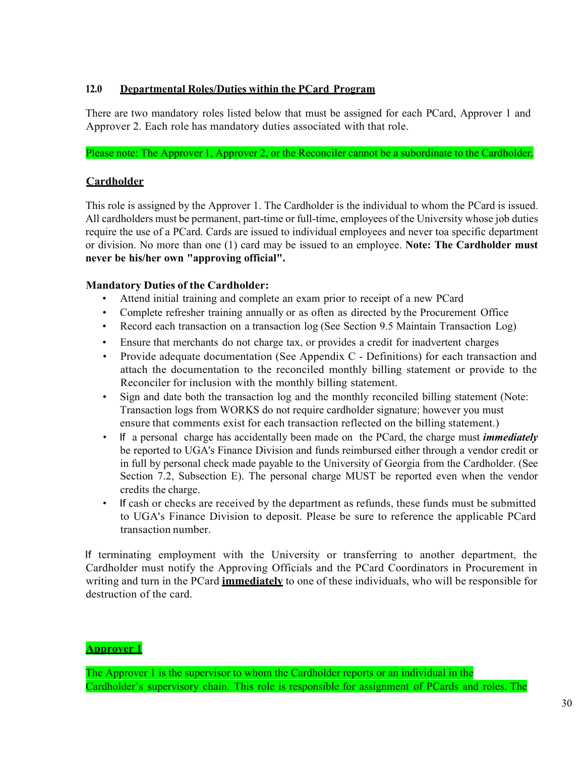# **12.0 Departmental Roles/Duties within the PCard Program**

There are two mandatory roles listed below that must be assigned for each PCard, Approver 1 and Approver 2. Each role has mandatory duties associated with that role.

Please note: The Approver 1, Approver 2, or the Reconciler cannot be a subordinate to the Cardholder.

# **Cardholder**

This role is assigned by the Approver 1. The Cardholder is the individual to whom the PCard is issued. All cardholders must be permanent, part-time or full-time, employees of the University whose job duties require the use of a PCard. Cards are issued to individual employees and never toa specific department or division. No more than one (1) card may be issued to an employee. **Note: The Cardholder must never be his/her own "approving official".**

# **Mandatory Duties of the Cardholder:**

- Attend initial training and complete an exam prior to receipt of a new PCard
- Complete refresher training annually or as often as directed by the Procurement Office
- Record each transaction on a transaction log (See Section 9.5 Maintain Transaction Log)
- Ensure that merchants do not charge tax, or provides a credit for inadvertent charges
- Provide adequate documentation (See Appendix C Definitions) for each transaction and attach the documentation to the reconciled monthly billing statement or provide to the Reconciler for inclusion with the monthly billing statement.
- Sign and date both the transaction log and the monthly reconciled billing statement (Note: Transaction logs from WORKS do not require cardholder signature; however you must ensure that comments exist for each transaction reflected on the billing statement.)
- If a personal charge has accidentally been made on the PCard, the charge must *immediately* be reported to UGA's Finance Division and funds reimbursed either through a vendor credit or in full by personal check made payable to the University of Georgia from the Cardholder. (See Section 7.2, Subsection E). The personal charge MUST be reported even when the vendor credits the charge.
- If cash or checks are received by the department as refunds, these funds must be submitted to UGA's Finance Division to deposit. Please be sure to reference the applicable PCard transaction number.

If terminating employment with the University or transferring to another department, the Cardholder must notify the Approving Officials and the PCard Coordinators in Procurement in writing and turn in the PCard **immediately** to one of these individuals, who will be responsible for destruction of the card.

#### **Approver 1**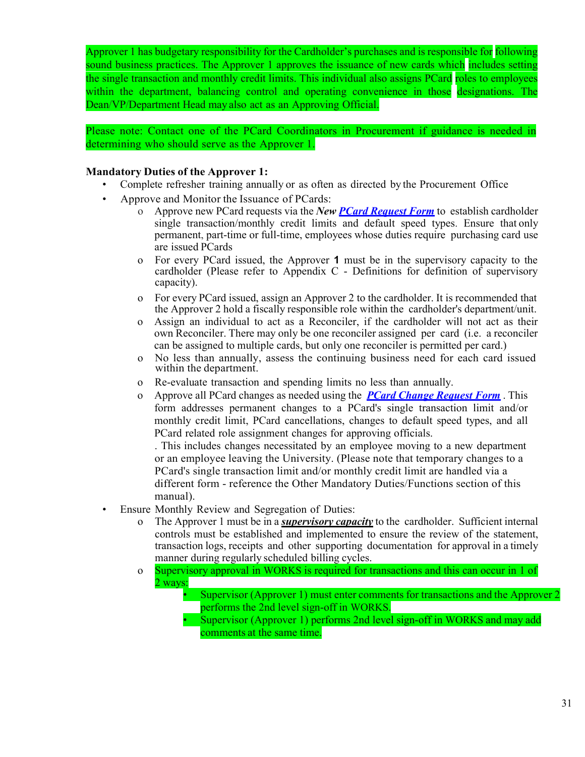Approver 1 has budgetary responsibility for the Cardholder's purchases and is responsible for following sound business practices. The Approver 1 approves the issuance of new cards which includes setting the single transaction and monthly credit limits. This individual also assigns PCard roles to employees within the department, balancing control and operating convenience in those designations. The Dean/VP/Department Head may also act as an Approving Official.

Please note: Contact one of the PCard Coordinators in Procurement if guidance is needed in determining who should serve as the Approver 1.

#### **Mandatory Duties of the Approver 1:**

- Complete refresher training annually or as often as directed by the Procurement Office
- Approve and Monitor the Issuance of PCards:
	- o Approve new PCard requests via the *New PCard [Request](https://busfin.uga.edu/forms/pcard_reqform_new.pdf) Form* to establish cardholder single transaction/monthly credit limits and default speed types. Ensure that only permanent, part-time or full-time, employees whose duties require purchasing card use are issued PCards
	- o For every PCard issued, the Approver **1** must be in the supervisory capacity to the cardholder (Please refer to Appendix C - Definitions for definition of supervisory capacity).
	- o For every PCard issued, assign an Approver 2 to the cardholder. It is recommended that the Approver 2 hold a fiscally responsible role within the cardholder's department/unit.
	- o Assign an individual to act as a Reconciler, if the cardholder will not act as their own Reconciler. There may only be one reconciler assigned per card (i.e. a reconciler can be assigned to multiple cards, but only one reconciler is permitted per card.)
	- o No less than annually, assess the continuing business need for each card issued within the department.
	- o Re-evaluate transaction and spending limits no less than annually.
	- o Approve all PCard changes as needed using the *[PCard Change Request Form](https://busfin.uga.edu/forms/pcard_change.pdf)* . This form addresses permanent changes to a PCard's single transaction limit and/or monthly credit limit, PCard cancellations, changes to default speed types, and all PCard related role assignment changes for approving officials.

. This includes changes necessitated by an employee moving to a new department or an employee leaving the University. (Please note that temporary changes to a PCard's single transaction limit and/or monthly credit limit are handled via a different form - reference the Other Mandatory Duties/Functions section of this manual).

- Ensure Monthly Review and Segregation of Duties:
	- o The Approver 1 must be in a *supervisory capacity* to the cardholder. Sufficient internal controls must be established and implemented to ensure the review of the statement, transaction logs, receipts and other supporting documentation for approval in a timely manner during regularly scheduled billing cycles.
	- o 2 ways: Supervisory approval in WORKS is required for transactions and this can occur in 1 of
		- Supervisor (Approver 1) must enter comments for transactions and the Approver 2 performs the 2nd level sign-off in WORKS.
		- Supervisor (Approver 1) performs 2nd level sign-off in WORKS and may add comments at the same time.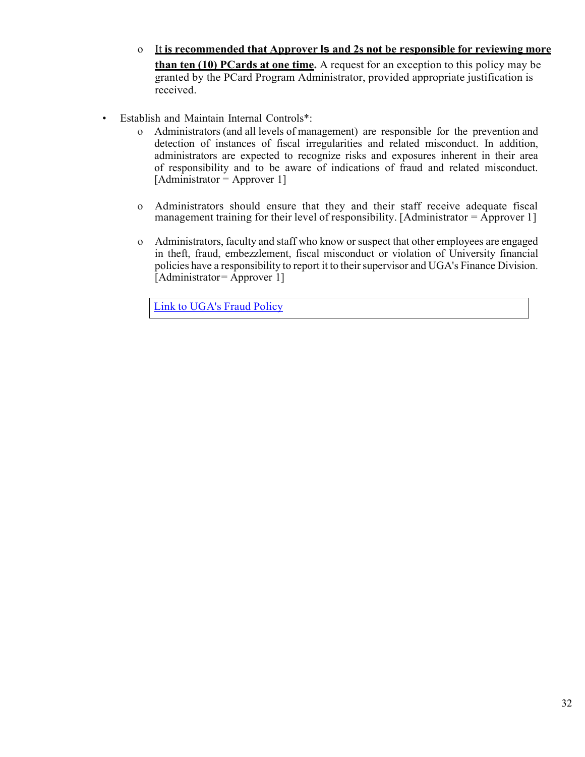- o It **is recommended that Approver ls and 2s not be responsible for reviewing more than ten (10) PCards at one time.** A request for an exception to this policy may be granted by the PCard Program Administrator, provided appropriate justification is received.
- Establish and Maintain Internal Controls\*:
	- o Administrators (and all levels of management) are responsible for the prevention and detection of instances of fiscal irregularities and related misconduct. In addition, administrators are expected to recognize risks and exposures inherent in their area of responsibility and to be aware of indications of fraud and related misconduct.  $[Administrator = Approver 1]$
	- o Administrators should ensure that they and their staff receive adequate fiscal management training for their level of responsibility. [Administrator  $=$  Approver 1]
	- o Administrators, faculty and staff who know or suspect that other employees are engaged in theft, fraud, embezzlement, fiscal misconduct or violation of University financial policies have a responsibility to report it to their supervisor and UGA's Finance Division. [Administrator= Approver 1]

Link to [UGA's](https://policies.uga.edu/Finance/Fiscal-Responsibility/Fraud-Policy/) Fraud Policy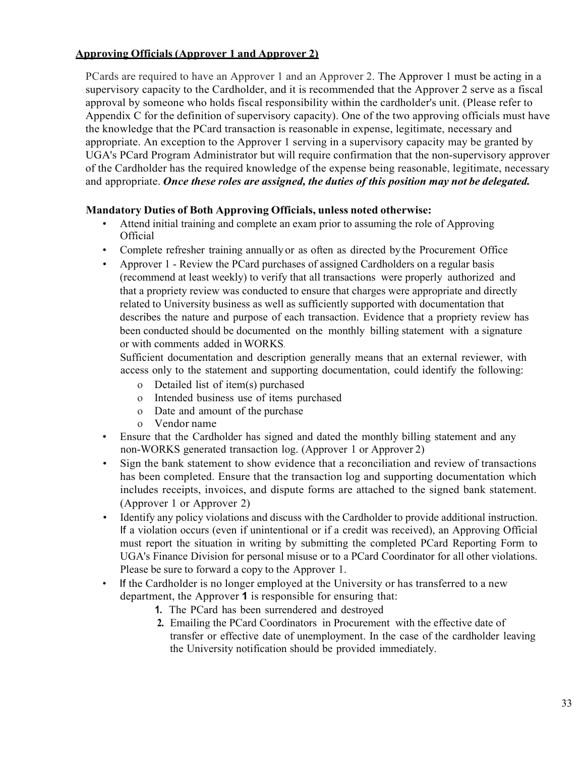#### **Approving Officials (Approver 1 and Approver 2)**

PCards are required to have an Approver 1 and an Approver 2. The Approver 1 must be acting in a supervisory capacity to the Cardholder, and it is recommended that the Approver 2 serve as a fiscal approval by someone who holds fiscal responsibility within the cardholder's unit. (Please refer to Appendix C for the definition of supervisory capacity). One of the two approving officials must have the knowledge that the PCard transaction is reasonable in expense, legitimate, necessary and appropriate. An exception to the Approver 1 serving in a supervisory capacity may be granted by UGA's PCard Program Administrator but will require confirmation that the non-supervisory approver of the Cardholder has the required knowledge of the expense being reasonable, legitimate, necessary and appropriate. *Once these roles are assigned, the duties of this position may not be delegated.*

# **Mandatory Duties of Both Approving Officials, unless noted otherwise:**

- Attend initial training and complete an exam prior to assuming the role of Approving **Official**
- Complete refresher training annually or as often as directed by the Procurement Office
- Approver 1 Review the PCard purchases of assigned Cardholders on a regular basis (recommend at least weekly) to verify that all transactions were properly authorized and that a propriety review was conducted to ensure that charges were appropriate and directly related to University business as well as sufficiently supported with documentation that describes the nature and purpose of each transaction. Evidence that a propriety review has been conducted should be documented on the monthly billing statement with a signature or with comments added in WORKS.

Sufficient documentation and description generally means that an external reviewer, with access only to the statement and supporting documentation, could identify the following:

- o Detailed list of item(s) purchased
- o Intended business use of items purchased
- o Date and amount of the purchase
- o Vendor name
- Ensure that the Cardholder has signed and dated the monthly billing statement and any non-WORKS generated transaction log. (Approver 1 or Approver 2)
- Sign the bank statement to show evidence that a reconciliation and review of transactions has been completed. Ensure that the transaction log and supporting documentation which includes receipts, invoices, and dispute forms are attached to the signed bank statement. (Approver 1 or Approver 2)
- Identify any policy violations and discuss with the Cardholder to provide additional instruction. If a violation occurs (even if unintentional or if a credit was received), an Approving Official must report the situation in writing by submitting the completed PCard Reporting Form to UGA's Finance Division for personal misuse or to a PCard Coordinator for all other violations. Please be sure to forward a copy to the Approver 1.
- If the Cardholder is no longer employed at the University or has transferred to a new department, the Approver **1** is responsible for ensuring that:
	- **1.** The PCard has been surrendered and destroyed
	- **2.** Emailing the PCard Coordinators in Procurement with the effective date of transfer or effective date of unemployment. In the case of the cardholder leaving the University notification should be provided immediately.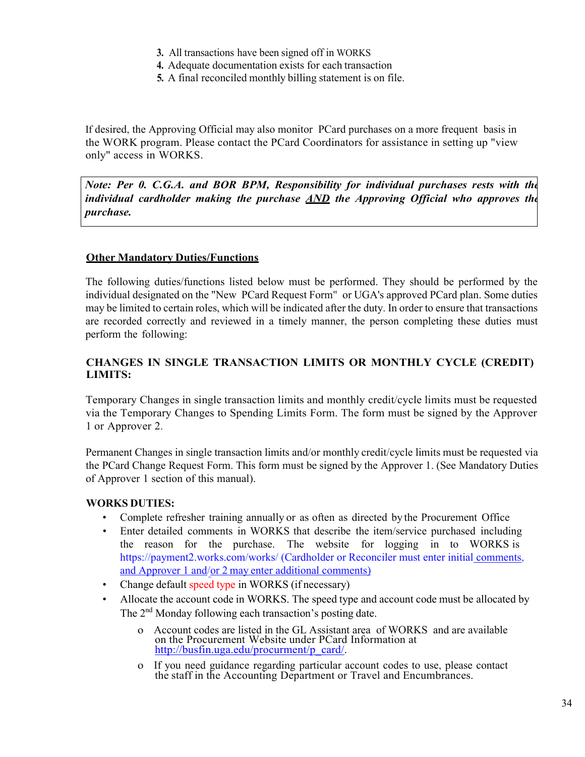- **3.** All transactions have been signed off in WORKS
- **4.** Adequate documentation exists for each transaction
- **5.** A final reconciled monthly billing statement is on file.

If desired, the Approving Official may also monitor PCard purchases on a more frequent basis in the WORK program. Please contact the PCard Coordinators for assistance in setting up "view only" access in WORKS.

*Note: Per 0. C.G.A. and BOR BPM, Responsibility for individual purchases rests with the individual cardholder making the purchase AND the Approving Official who approves the purchase.*

# **Other Mandatory Duties/Functions**

The following duties/functions listed below must be performed. They should be performed by the individual designated on the "New PCard Request Form" or UGA's approved PCard plan. Some duties may be limited to certain roles, which will be indicated after the duty. In order to ensure that transactions are recorded correctly and reviewed in a timely manner, the person completing these duties must perform the following:

# **CHANGES IN SINGLE TRANSACTION LIMITS OR MONTHLY CYCLE (CREDIT) LIMITS:**

Temporary Changes in single transaction limits and monthly credit/cycle limits must be requested via the Temporary Changes to Spending Limits Form. The form must be signed by the Approver 1 or Approver 2.

Permanent Changes in single transaction limits and/or monthly credit/cycle limits must be requested via the PCard Change Request Form. This form must be signed by the Approver 1. (See Mandatory Duties of Approver 1 section of this manual).

#### **WORKS DUTIES:**

- Complete refresher training annually or as often as directed by the Procurement Office
- Enter detailed comments in WORKS that describe the item/service purchased including the reason for the purchase. The website for logging in to WORKS is [https://payment2.works.com/works/ \(](https://payment2.works.com/works/)Cardholder or Reconciler must enter initial comments, and Approver 1 and/or 2 may enter additional comments)
- Change default speed type in WORKS (if necessary)
- Allocate the account code in WORKS. The speed type and account code must be allocated by The 2<sup>nd</sup> Monday following each transaction's posting date.
	- o Account codes are listed in the GL Assistant area of WORKS and are available on the Procurement Website under PCard Information at [http://busfin.uga.edu/procurment/p\\_card/.](http://busfin.uga.edu/procurment/p_card/)
	- o If you need guidance regarding particular account codes to use, please contact the staff in the Accounting Department or Travel and Encumbrances.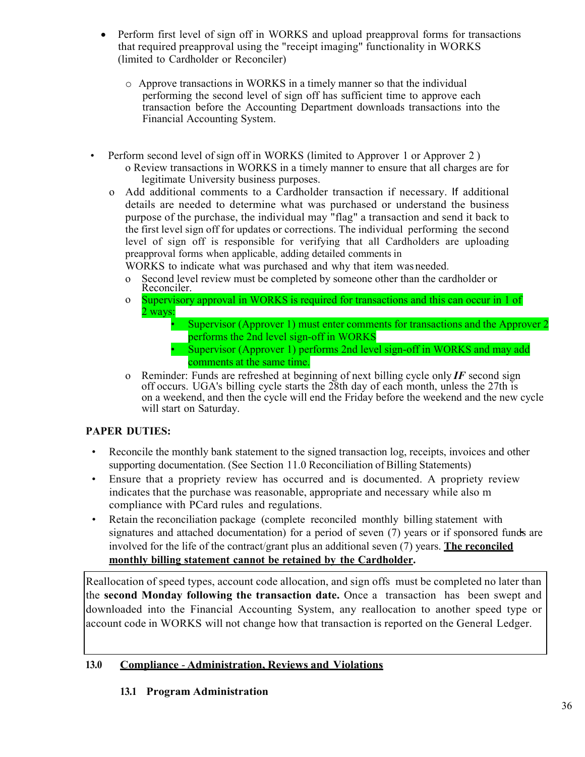- Perform first level of sign off in WORKS and upload preapproval forms for transactions that required preapproval using the "receipt imaging" functionality in WORKS (limited to Cardholder or Reconciler)
	- o Approve transactions in WORKS in a timely manner so that the individual performing the second level of sign off has sufficient time to approve each transaction before the Accounting Department downloads transactions into the Financial Accounting System.
- Perform second level of sign off in WORKS (limited to Approver 1 or Approver 2) o Review transactions in WORKS in a timely manner to ensure that all charges are for legitimate University business purposes.
	- o Add additional comments to a Cardholder transaction if necessary. If additional details are needed to determine what was purchased or understand the business purpose of the purchase, the individual may "flag" a transaction and send it back to the first level sign off for updates or corrections. The individual performing the second level of sign off is responsible for verifying that all Cardholders are uploading preapproval forms when applicable, adding detailed comments in
		- WORKS to indicate what was purchased and why that item was needed.
		- o Second level review must be completed by someone other than the cardholder or Reconciler.
		- o 2 ways: Supervisory approval in WORKS is required for transactions and this can occur in 1 of
			- Supervisor (Approver 1) must enter comments for transactions and the Approver 2 performs the 2nd level sign-off in WORKS
			- Supervisor (Approver 1) performs 2nd level sign-off in WORKS and may add comments at the same time.
		- o Reminder: Funds are refreshed at beginning of next billing cycle only *IF* second sign off occurs. UGA's billing cycle starts the 28th day of each month, unless the 27th is on a weekend, and then the cycle will end the Friday before the weekend and the new cycle will start on Saturday.

# **PAPER DUTIES:**

- Reconcile the monthly bank statement to the signed transaction log, receipts, invoices and other supporting documentation. (See Section 11.0 Reconciliation of Billing Statements)
- Ensure that a propriety review has occurred and is documented. A propriety review indicates that the purchase was reasonable, appropriate and necessary while also m compliance with PCard rules and regulations.
- Retain the reconciliation package (complete reconciled monthly billing statement with signatures and attached documentation) for a period of seven (7) years or if sponsored funds are involved for the life of the contract/grant plus an additional seven (7) years. **The reconciled monthly billing statement cannot be retained by the Cardholder.**

Reallocation of speed types, account code allocation, and sign offs must be completed no later than the **second Monday following the transaction date.** Once a transaction has been swept and downloaded into the Financial Accounting System, any reallocation to another speed type or account code in WORKS will not change how that transaction is reported on the General Ledger.

# **13.0 Compliance** - **Administration, Reviews and Violations**

# **13.1 Program Administration**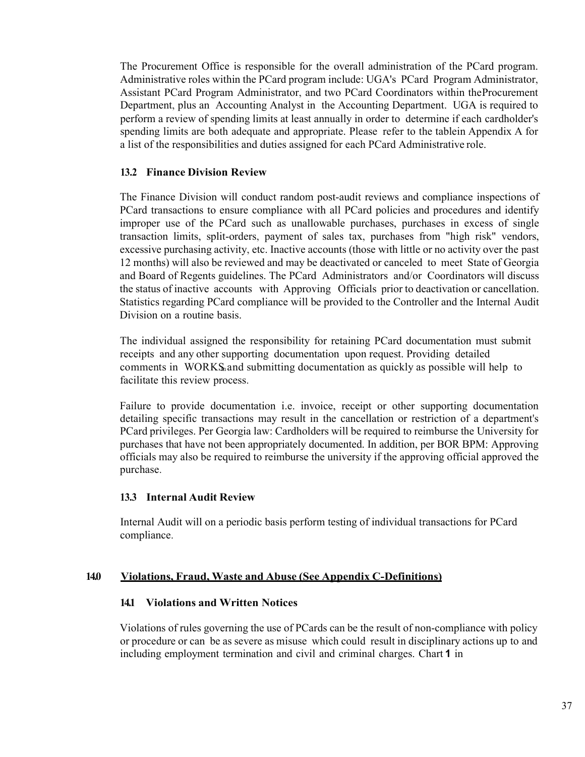The Procurement Office is responsible for the overall administration of the PCard program. Administrative roles within the PCard program include: UGA's PCard Program Administrator, Assistant PCard Program Administrator, and two PCard Coordinators within theProcurement Department, plus an Accounting Analyst in the Accounting Department. UGA is required to perform a review of spending limits at least annually in order to determine if each cardholder's spending limits are both adequate and appropriate. Please refer to the tablein Appendix A for a list of the responsibilities and duties assigned for each PCard Administrative role.

#### **13.2 Finance Division Review**

The Finance Division will conduct random post-audit reviews and compliance inspections of PCard transactions to ensure compliance with all PCard policies and procedures and identify improper use of the PCard such as unallowable purchases, purchases in excess of single transaction limits, split-orders, payment of sales tax, purchases from "high risk" vendors, excessive purchasing activity, etc. Inactive accounts (those with little or no activity over the past 12 months) will also be reviewed and may be deactivated or canceled to meet State of Georgia and Board of Regents guidelines. The PCard Administrators and/or Coordinators will discuss the status of inactive accounts with Approving Officials prior to deactivation or cancellation. Statistics regarding PCard compliance will be provided to the Controller and the Internal Audit Division on a routine basis.

The individual assigned the responsibility for retaining PCard documentation must submit receipts and any other supporting documentation upon request. Providing detailed comments in WORKS and submitting documentation as quickly as possible will help to facilitate this review process.

Failure to provide documentation i.e. invoice, receipt or other supporting documentation detailing specific transactions may result in the cancellation or restriction of a department's PCard privileges. Per Georgia law: Cardholders will be required to reimburse the University for purchases that have not been appropriately documented. In addition, per BOR BPM: Approving officials may also be required to reimburse the university if the approving official approved the purchase.

#### **13.3 Internal Audit Review**

Internal Audit will on a periodic basis perform testing of individual transactions for PCard compliance.

#### **14.0 Violations, Fraud, Waste and Abuse (See Appendix C-Definitions)**

#### **14.1 Violations and Written Notices**

Violations of rules governing the use of PCards can be the result of non-compliance with policy or procedure or can be as severe as misuse which could result in disciplinary actions up to and including employment termination and civil and criminal charges. Chart **1** in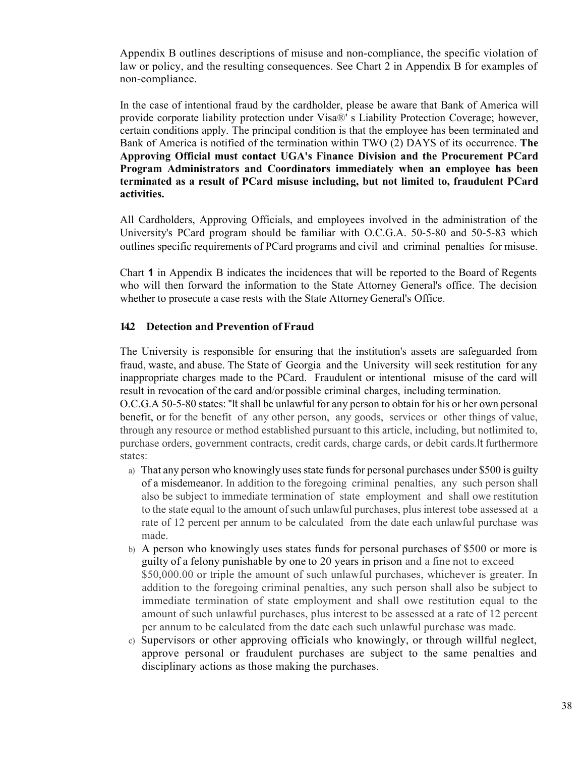Appendix B outlines descriptions of misuse and non-compliance, the specific violation of law or policy, and the resulting consequences. See Chart 2 in Appendix B for examples of non-compliance.

In the case of intentional fraud by the cardholder, please be aware that Bank of America will provide corporate liability protection under Visa®' s Liability Protection Coverage; however, certain conditions apply. The principal condition is that the employee has been terminated and Bank of America is notified of the termination within TWO (2) DAYS of its occurrence. **The Approving Official must contact UGA's Finance Division and the Procurement PCard Program Administrators and Coordinators immediately when an employee has been terminated as a result of PCard misuse including, but not limited to, fraudulent PCard activities.**

All Cardholders, Approving Officials, and employees involved in the administration of the University's PCard program should be familiar with O.C.G.A. 50-5-80 and 50-5-83 which outlines specific requirements of PCard programs and civil and criminal penalties for misuse.

Chart **1** in Appendix B indicates the incidences that will be reported to the Board of Regents who will then forward the information to the State Attorney General's office. The decision whether to prosecute a case rests with the State Attorney General's Office.

#### **14.2 Detection and Prevention of Fraud**

The University is responsible for ensuring that the institution's assets are safeguarded from fraud, waste, and abuse. The State of Georgia and the University will seek restitution for any inappropriate charges made to the PCard. Fraudulent or intentional misuse of the card will result in revocation of the card and/or possible criminal charges, including termination.

O.C.G.A 50-5-80 states: "It shall be unlawful for any person to obtain for his or her own personal benefit, or for the benefit of any other person, any goods, services or other things of value, through any resource or method established pursuant to this article, including, but notlimited to, purchase orders, government contracts, credit cards, charge cards, or debit cards.It furthermore states:

- a) That any person who knowingly uses state funds for personal purchases under \$500 is guilty of a misdemeanor. In addition to the foregoing criminal penalties, any such person shall also be subject to immediate termination of state employment and shall owe restitution to the state equal to the amount of such unlawful purchases, plus interest tobe assessed at a rate of 12 percent per annum to be calculated from the date each unlawful purchase was made.
- b) A person who knowingly uses states funds for personal purchases of \$500 or more is guilty of a felony punishable by one to 20 years in prison and a fine not to exceed \$50,000.00 or triple the amount of such unlawful purchases, whichever is greater. In addition to the foregoing criminal penalties, any such person shall also be subject to immediate termination of state employment and shall owe restitution equal to the amount of such unlawful purchases, plus interest to be assessed at a rate of 12 percent per annum to be calculated from the date each such unlawful purchase was made.
- c) Supervisors or other approving officials who knowingly, or through willful neglect, approve personal or fraudulent purchases are subject to the same penalties and disciplinary actions as those making the purchases.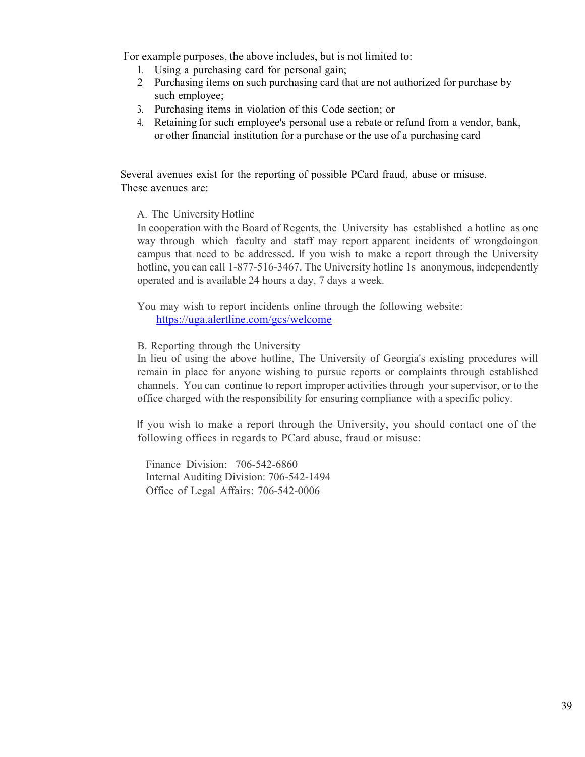For example purposes, the above includes, but is not limited to:

- 1. Using a purchasing card for personal gain;
- 2 Purchasing items on such purchasing card that are not authorized for purchase by such employee;
- 3. Purchasing items in violation of this Code section; or
- 4. Retaining for such employee's personal use a rebate or refund from a vendor, bank, or other financial institution for a purchase or the use of a purchasing card

Several avenues exist for the reporting of possible PCard fraud, abuse or misuse. These avenues are:

A. The University Hotline

In cooperation with the Board of Regents, the University has established a hotline as one way through which faculty and staff may report apparent incidents of wrongdoingon campus that need to be addressed. If you wish to make a report through the University hotline, you can call 1-877-516-3467. The University hotline 1s anonymous, independently operated and is available 24 hours a day, 7 days a week.

You may wish to report incidents online through the following website: https://uga.alertline.com/gcs/welcome

B. Reporting through the University

In lieu of using the above hotline, The University of Georgia's existing procedures will remain in place for anyone wishing to pursue reports or complaints through established channels. You can continue to report improper activities through your supervisor, or to the office charged with the responsibility for ensuring compliance with a specific policy.

If you wish to make a report through the University, you should contact one of the following offices in regards to PCard abuse, fraud or misuse:

Finance Division: 706-542-6860 Internal Auditing Division: 706-542-1494 Office of Legal Affairs: 706-542-0006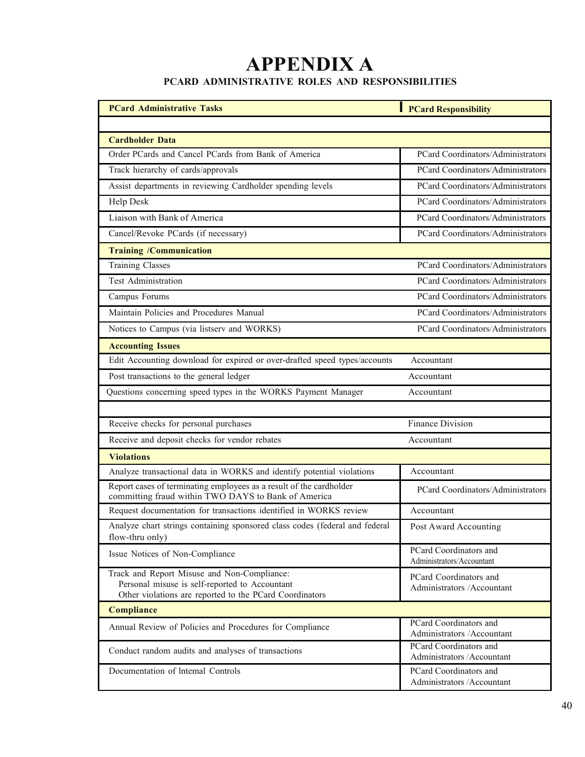# **APPENDIX A PCARD ADMINISTRATIVE ROLES AND RESPONSIBILITIES**

| <b>PCard Administrative Tasks</b>                                                                                                                        | <b>PCard Responsibility</b>                           |
|----------------------------------------------------------------------------------------------------------------------------------------------------------|-------------------------------------------------------|
|                                                                                                                                                          |                                                       |
| <b>Cardholder Data</b>                                                                                                                                   |                                                       |
| Order PCards and Cancel PCards from Bank of America                                                                                                      | PCard Coordinators/Administrators                     |
| Track hierarchy of cards/approvals                                                                                                                       | PCard Coordinators/Administrators                     |
| Assist departments in reviewing Cardholder spending levels                                                                                               | PCard Coordinators/Administrators                     |
| Help Desk                                                                                                                                                | PCard Coordinators/Administrators                     |
| Liaison with Bank of America                                                                                                                             | PCard Coordinators/Administrators                     |
| Cancel/Revoke PCards (if necessary)                                                                                                                      | PCard Coordinators/Administrators                     |
| <b>Training /Communication</b>                                                                                                                           |                                                       |
| <b>Training Classes</b>                                                                                                                                  | PCard Coordinators/Administrators                     |
| Test Administration                                                                                                                                      | PCard Coordinators/Administrators                     |
| Campus Forums                                                                                                                                            | PCard Coordinators/Administrators                     |
| Maintain Policies and Procedures Manual                                                                                                                  | PCard Coordinators/Administrators                     |
| Notices to Campus (via listserv and WORKS)                                                                                                               | PCard Coordinators/Administrators                     |
| <b>Accounting Issues</b>                                                                                                                                 |                                                       |
| Edit Accounting download for expired or over-drafted speed types/accounts                                                                                | Accountant                                            |
| Post transactions to the general ledger                                                                                                                  | Accountant                                            |
| Questions concerning speed types in the WORKS Payment Manager                                                                                            | Accountant                                            |
|                                                                                                                                                          |                                                       |
| Receive checks for personal purchases                                                                                                                    | <b>Finance Division</b>                               |
| Receive and deposit checks for vendor rebates                                                                                                            | Accountant                                            |
| <b>Violations</b>                                                                                                                                        |                                                       |
| Analyze transactional data in WORKS and identify potential violations                                                                                    | Accountant                                            |
| Report cases of terminating employees as a result of the cardholder<br>committing fraud within TWO DAYS to Bank of America                               | PCard Coordinators/Administrators                     |
| Request documentation for transactions identified in WORKS review                                                                                        | Accountant                                            |
| Analyze chart strings containing sponsored class codes (federal and federal<br>flow-thru only)                                                           | Post Award Accounting                                 |
| Issue Notices of Non-Compliance                                                                                                                          | PCard Coordinators and<br>Administrators/Accountant   |
| Track and Report Misuse and Non-Compliance:<br>Personal misuse is self-reported to Accountant<br>Other violations are reported to the PCard Coordinators | PCard Coordinators and<br>Administrators /Accountant  |
| <b>Compliance</b>                                                                                                                                        |                                                       |
| Annual Review of Policies and Procedures for Compliance                                                                                                  | PCard Coordinators and<br>Administrators /Accountant  |
| Conduct random audits and analyses of transactions                                                                                                       | PCard Coordinators and<br>Administrators / Accountant |
| Documentation of Intemal Controls                                                                                                                        | PCard Coordinators and<br>Administrators /Accountant  |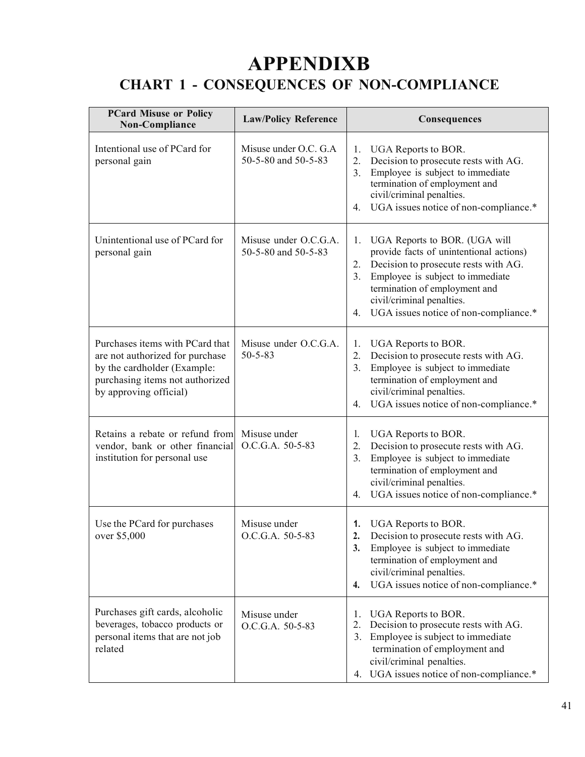# **APPENDIXB CHART 1 - CONSEQUENCES OF NON-COMPLIANCE**

| <b>PCard Misuse or Policy</b><br>Non-Compliance                                                                                                                | <b>Law/Policy Reference</b>                  | Consequences                                                                                                                                                                                                                                                                        |
|----------------------------------------------------------------------------------------------------------------------------------------------------------------|----------------------------------------------|-------------------------------------------------------------------------------------------------------------------------------------------------------------------------------------------------------------------------------------------------------------------------------------|
| Intentional use of PCard for<br>personal gain                                                                                                                  | Misuse under O.C. G.A<br>50-5-80 and 50-5-83 | UGA Reports to BOR.<br>1.<br>Decision to prosecute rests with AG.<br>2.<br>Employee is subject to immediate<br>3.<br>termination of employment and<br>civil/criminal penalties.<br>UGA issues notice of non-compliance.*<br>4.                                                      |
| Unintentional use of PCard for<br>personal gain                                                                                                                | Misuse under O.C.G.A.<br>50-5-80 and 50-5-83 | UGA Reports to BOR. (UGA will<br>1.<br>provide facts of unintentional actions)<br>Decision to prosecute rests with AG.<br>2.<br>3.<br>Employee is subject to immediate<br>termination of employment and<br>civil/criminal penalties.<br>UGA issues notice of non-compliance.*<br>4. |
| Purchases items with PCard that<br>are not authorized for purchase<br>by the cardholder (Example:<br>purchasing items not authorized<br>by approving official) | Misuse under O.C.G.A.<br>$50 - 5 - 83$       | UGA Reports to BOR.<br>1.<br>Decision to prosecute rests with AG.<br>2.<br>Employee is subject to immediate<br>3.<br>termination of employment and<br>civil/criminal penalties.<br>UGA issues notice of non-compliance.*<br>4.                                                      |
| Retains a rebate or refund from<br>vendor, bank or other financial<br>institution for personal use                                                             | Misuse under<br>O.C.G.A. 50-5-83             | UGA Reports to BOR.<br>1.<br>2.<br>Decision to prosecute rests with AG.<br>Employee is subject to immediate<br>3.<br>termination of employment and<br>civil/criminal penalties.<br>UGA issues notice of non-compliance.*<br>4.                                                      |
| Use the PCard for purchases<br>over \$5,000                                                                                                                    | Misuse under<br>O.C.G.A. 50-5-83             | <b>UGA Reports to BOR.</b><br>1.<br>2.<br>Decision to prosecute rests with AG.<br>Employee is subject to immediate<br>3.<br>termination of employment and<br>civil/criminal penalties.<br>UGA issues notice of non-compliance.*<br>4.                                               |
| Purchases gift cards, alcoholic<br>beverages, tobacco products or<br>personal items that are not job<br>related                                                | Misuse under<br>O.C.G.A. 50-5-83             | UGA Reports to BOR.<br>1.<br>Decision to prosecute rests with AG.<br>2.<br>Employee is subject to immediate<br>3.<br>termination of employment and<br>civil/criminal penalties.<br>4. UGA issues notice of non-compliance.*                                                         |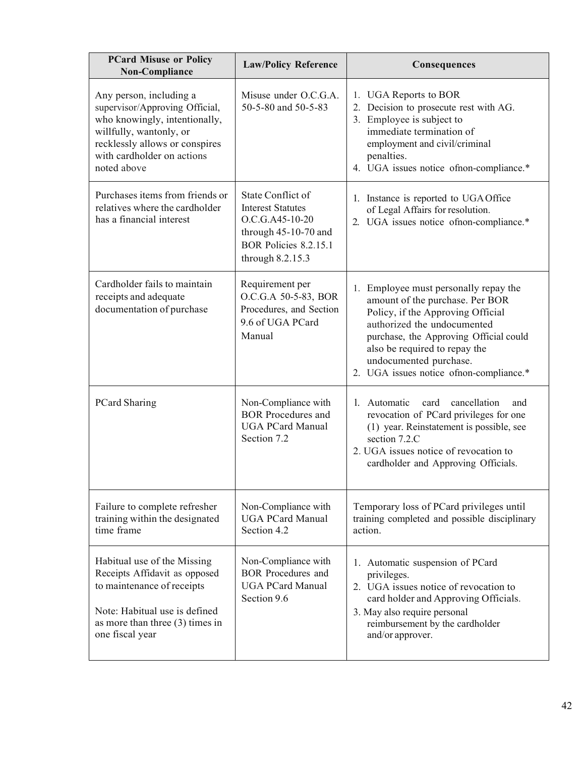| <b>PCard Misuse or Policy</b><br>Non-Compliance                                                                                                                                                      | <b>Law/Policy Reference</b>                                                                                                             | Consequences                                                                                                                                                                                                                                                                                  |
|------------------------------------------------------------------------------------------------------------------------------------------------------------------------------------------------------|-----------------------------------------------------------------------------------------------------------------------------------------|-----------------------------------------------------------------------------------------------------------------------------------------------------------------------------------------------------------------------------------------------------------------------------------------------|
| Any person, including a<br>supervisor/Approving Official,<br>who knowingly, intentionally,<br>willfully, wantonly, or<br>recklessly allows or conspires<br>with cardholder on actions<br>noted above | Misuse under O.C.G.A.<br>50-5-80 and 50-5-83                                                                                            | 1. UGA Reports to BOR<br>2. Decision to prosecute rest with AG.<br>3. Employee is subject to<br>immediate termination of<br>employment and civil/criminal<br>penalties.<br>4. UGA issues notice of non-compliance.*                                                                           |
| Purchases items from friends or<br>relatives where the cardholder<br>has a financial interest                                                                                                        | State Conflict of<br><b>Interest Statutes</b><br>O.C.G.A45-10-20<br>through 45-10-70 and<br>BOR Policies 8.2.15.1<br>through $8.2.15.3$ | 1. Instance is reported to UGA Office<br>of Legal Affairs for resolution.<br>2. UGA issues notice of non-compliance.*                                                                                                                                                                         |
| Cardholder fails to maintain<br>receipts and adequate<br>documentation of purchase                                                                                                                   | Requirement per<br>O.C.G.A 50-5-83, BOR<br>Procedures, and Section<br>9.6 of UGA PCard<br>Manual                                        | 1. Employee must personally repay the<br>amount of the purchase. Per BOR<br>Policy, if the Approving Official<br>authorized the undocumented<br>purchase, the Approving Official could<br>also be required to repay the<br>undocumented purchase.<br>2. UGA issues notice of non-compliance.* |
| <b>PCard Sharing</b>                                                                                                                                                                                 | Non-Compliance with<br><b>BOR</b> Procedures and<br><b>UGA PCard Manual</b><br>Section 7.2                                              | 1. Automatic<br>card<br>cancellation<br>and<br>revocation of PCard privileges for one<br>(1) year. Reinstatement is possible, see<br>section 7.2.C<br>2. UGA issues notice of revocation to<br>cardholder and Approving Officials.                                                            |
| Failure to complete refresher<br>training within the designated<br>time frame                                                                                                                        | Non-Compliance with<br><b>UGA PCard Manual</b><br>Section 4.2                                                                           | Temporary loss of PCard privileges until<br>training completed and possible disciplinary<br>action.                                                                                                                                                                                           |
| Habitual use of the Missing<br>Receipts Affidavit as opposed<br>to maintenance of receipts<br>Note: Habitual use is defined<br>as more than three $(3)$ times in<br>one fiscal year                  | Non-Compliance with<br><b>BOR</b> Procedures and<br><b>UGA PCard Manual</b><br>Section 9.6                                              | 1. Automatic suspension of PCard<br>privileges.<br>2. UGA issues notice of revocation to<br>card holder and Approving Officials.<br>3. May also require personal<br>reimbursement by the cardholder<br>and/or approver.                                                                       |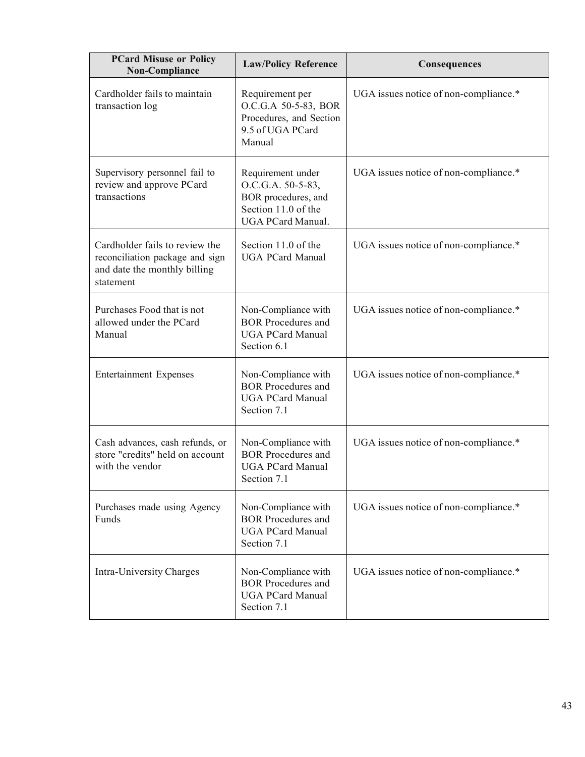| <b>PCard Misuse or Policy</b><br>Non-Compliance                                                                | <b>Law/Policy Reference</b>                                                                               | Consequences                          |
|----------------------------------------------------------------------------------------------------------------|-----------------------------------------------------------------------------------------------------------|---------------------------------------|
| Cardholder fails to maintain<br>transaction log                                                                | Requirement per<br>O.C.G.A 50-5-83, BOR<br>Procedures, and Section<br>9.5 of UGA PCard<br>Manual          | UGA issues notice of non-compliance.* |
| Supervisory personnel fail to<br>review and approve PCard<br>transactions                                      | Requirement under<br>O.C.G.A. 50-5-83,<br>BOR procedures, and<br>Section 11.0 of the<br>UGA PCard Manual. | UGA issues notice of non-compliance.* |
| Cardholder fails to review the<br>reconciliation package and sign<br>and date the monthly billing<br>statement | Section 11.0 of the<br><b>UGA PCard Manual</b>                                                            | UGA issues notice of non-compliance.* |
| Purchases Food that is not<br>allowed under the PCard<br>Manual                                                | Non-Compliance with<br><b>BOR</b> Procedures and<br><b>UGA PCard Manual</b><br>Section 6.1                | UGA issues notice of non-compliance.* |
| <b>Entertainment Expenses</b>                                                                                  | Non-Compliance with<br><b>BOR</b> Procedures and<br><b>UGA PCard Manual</b><br>Section 7.1                | UGA issues notice of non-compliance.* |
| Cash advances, cash refunds, or<br>store "credits" held on account<br>with the vendor                          | Non-Compliance with<br><b>BOR</b> Procedures and<br><b>UGA PCard Manual</b><br>Section 7.1                | UGA issues notice of non-compliance.* |
| Purchases made using Agency<br>Funds                                                                           | Non-Compliance with<br><b>BOR</b> Procedures and<br><b>UGA PCard Manual</b><br>Section 7.1                | UGA issues notice of non-compliance.* |
| Intra-University Charges                                                                                       | Non-Compliance with<br><b>BOR</b> Procedures and<br><b>UGA PCard Manual</b><br>Section 7.1                | UGA issues notice of non-compliance.* |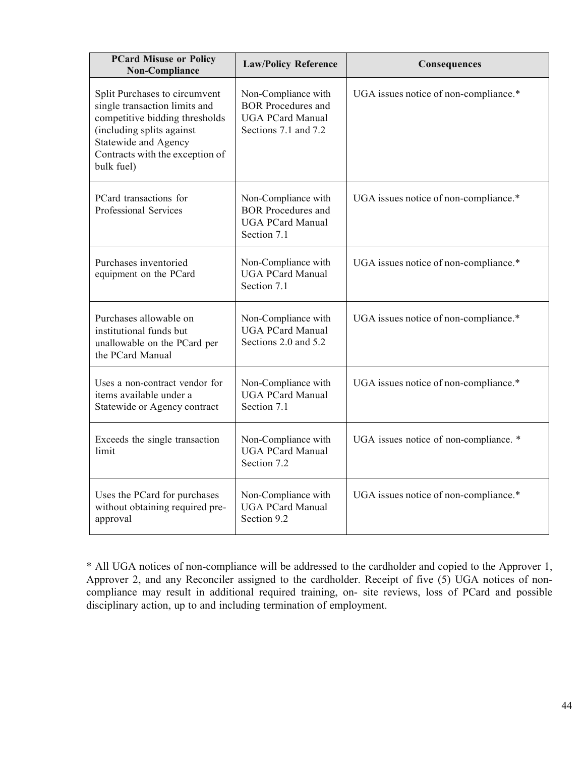| <b>PCard Misuse or Policy</b><br>Non-Compliance                                                                                                                                                        | <b>Law/Policy Reference</b>                                                                         | Consequences                           |
|--------------------------------------------------------------------------------------------------------------------------------------------------------------------------------------------------------|-----------------------------------------------------------------------------------------------------|----------------------------------------|
| Split Purchases to circumvent<br>single transaction limits and<br>competitive bidding thresholds<br>(including splits against<br>Statewide and Agency<br>Contracts with the exception of<br>bulk fuel) | Non-Compliance with<br><b>BOR</b> Procedures and<br><b>UGA PCard Manual</b><br>Sections 7.1 and 7.2 | UGA issues notice of non-compliance.*  |
| PCard transactions for<br>Professional Services                                                                                                                                                        | Non-Compliance with<br><b>BOR</b> Procedures and<br><b>UGA PCard Manual</b><br>Section 7.1          | UGA issues notice of non-compliance.*  |
| Purchases inventoried<br>equipment on the PCard                                                                                                                                                        | Non-Compliance with<br><b>UGA PCard Manual</b><br>Section 7.1                                       | UGA issues notice of non-compliance.*  |
| Purchases allowable on<br>institutional funds but<br>unallowable on the PCard per<br>the PCard Manual                                                                                                  | Non-Compliance with<br><b>UGA PCard Manual</b><br>Sections 2.0 and 5.2                              | UGA issues notice of non-compliance.*  |
| Uses a non-contract vendor for<br>items available under a<br>Statewide or Agency contract                                                                                                              | Non-Compliance with<br><b>UGA PCard Manual</b><br>Section 7.1                                       | UGA issues notice of non-compliance.*  |
| Exceeds the single transaction<br>limit                                                                                                                                                                | Non-Compliance with<br><b>UGA PCard Manual</b><br>Section 7.2                                       | UGA issues notice of non-compliance. * |
| Uses the PCard for purchases<br>without obtaining required pre-<br>approval                                                                                                                            | Non-Compliance with<br><b>UGA PCard Manual</b><br>Section 9.2                                       | UGA issues notice of non-compliance.*  |

\* All UGA notices of non-compliance will be addressed to the cardholder and copied to the Approver 1, Approver 2, and any Reconciler assigned to the cardholder. Receipt of five (5) UGA notices of noncompliance may result in additional required training, on- site reviews, loss of PCard and possible disciplinary action, up to and including termination of employment.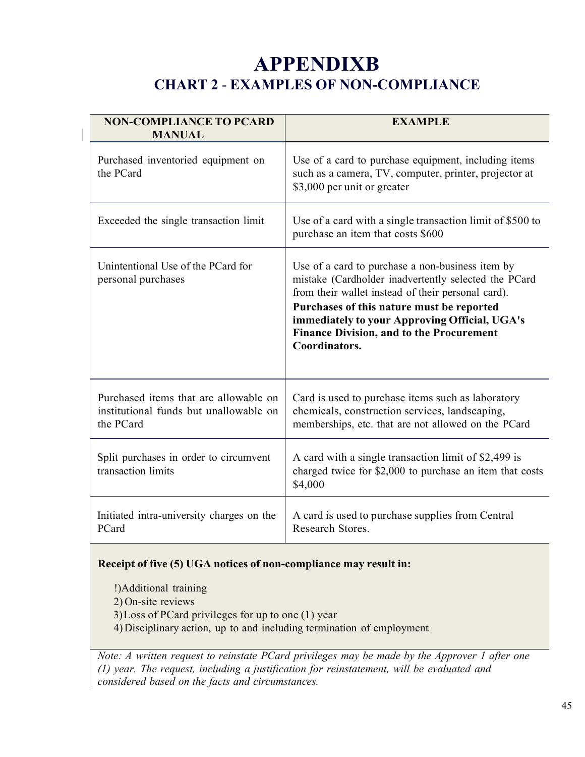# **APPENDIXB CHART 2** - **EXAMPLES OF NON-COMPLIANCE**

| <b>NON-COMPLIANCE TO PCARD</b><br><b>MANUAL</b>                                              | <b>EXAMPLE</b>                                                                                                                                                                                                                                                                                                                   |
|----------------------------------------------------------------------------------------------|----------------------------------------------------------------------------------------------------------------------------------------------------------------------------------------------------------------------------------------------------------------------------------------------------------------------------------|
| Purchased inventoried equipment on<br>the PCard                                              | Use of a card to purchase equipment, including items<br>such as a camera, TV, computer, printer, projector at<br>\$3,000 per unit or greater                                                                                                                                                                                     |
| Exceeded the single transaction limit                                                        | Use of a card with a single transaction limit of \$500 to<br>purchase an item that costs \$600                                                                                                                                                                                                                                   |
| Unintentional Use of the PCard for<br>personal purchases                                     | Use of a card to purchase a non-business item by<br>mistake (Cardholder inadvertently selected the PCard<br>from their wallet instead of their personal card).<br>Purchases of this nature must be reported<br>immediately to your Approving Official, UGA's<br><b>Finance Division, and to the Procurement</b><br>Coordinators. |
| Purchased items that are allowable on<br>institutional funds but unallowable on<br>the PCard | Card is used to purchase items such as laboratory<br>chemicals, construction services, landscaping,<br>memberships, etc. that are not allowed on the PCard                                                                                                                                                                       |
| Split purchases in order to circumvent<br>transaction limits                                 | A card with a single transaction limit of \$2,499 is<br>charged twice for \$2,000 to purchase an item that costs<br>\$4,000                                                                                                                                                                                                      |
| Initiated intra-university charges on the<br>PCard                                           | A card is used to purchase supplies from Central<br>Research Stores.                                                                                                                                                                                                                                                             |

# **Receipt of five (5) UGA notices of non-compliance may result in:**

!)Additional training 2) On-site reviews 3)Loss of PCard privileges for up to one (1) year 4) Disciplinary action, up to and including termination of employment

*Note: A written request to reinstate PCard privileges may be made by the Approver 1 after one (1) year. The request, including a justification for reinstatement, will be evaluated and considered based on the facts and circumstances.*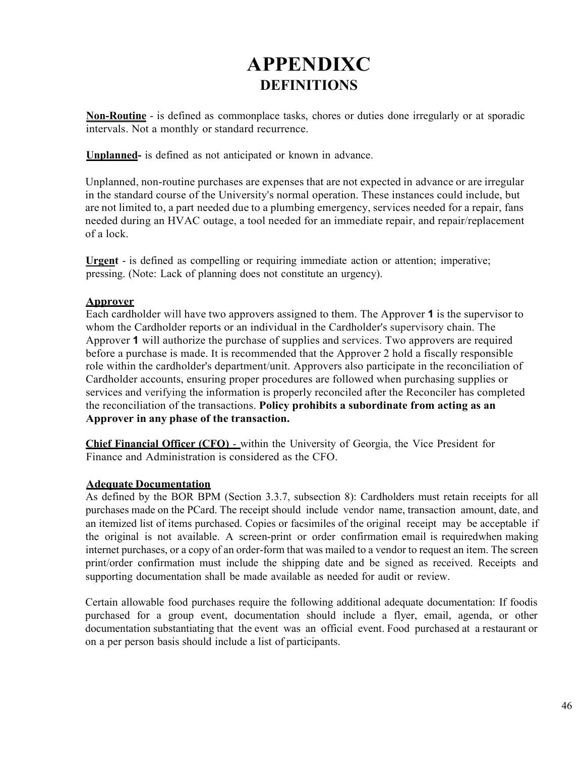# **APPENDIXC DEFINITIONS**

**Non-Routine** - is defined as commonplace tasks, chores or duties done irregularly or at sporadic intervals. Not a monthly or standard recurrence.

**Unplanned-** is defined as not anticipated or known in advance.

Unplanned, non-routine purchases are expenses that are not expected in advance or are irregular in the standard course of the University's normal operation. These instances could include, but are not limited to, a part needed due to a plumbing emergency, services needed for a repair, fans needed during an HVAC outage, a tool needed for an immediate repair, and repair/replacement of a lock.

**Urgent** - is defined as compelling or requiring immediate action or attention; imperative; pressing. (Note: Lack of planning does not constitute an urgency).

# **Approver**

Each cardholder will have two approvers assigned to them. The Approver **1** is the supervisor to whom the Cardholder reports or an individual in the Cardholder's supervisory chain. The Approver **1** will authorize the purchase of supplies and services. Two approvers are required before a purchase is made. It is recommended that the Approver 2 hold a fiscally responsible role within the cardholder's department/unit. Approvers also participate in the reconciliation of Cardholder accounts, ensuring proper procedures are followed when purchasing supplies or services and verifying the information is properly reconciled after the Reconciler has completed the reconciliation of the transactions. **Policy prohibits a subordinate from acting as an Approver in any phase of the transaction.**

**Chief Financial Officer (CFO)** - within the University of Georgia, the Vice President for Finance and Administration is considered as the CFO.

# **Adequate Documentation**

As defined by the BOR BPM (Section 3.3.7, subsection 8): Cardholders must retain receipts for all purchases made on the PCard. The receipt should include vendor name, transaction amount, date, and an itemized list of items purchased. Copies or facsimiles of the original receipt may be acceptable if the original is not available. A screen-print or order confirmation email is requiredwhen making internet purchases, or a copy of an order-form that was mailed to a vendor to request an item. The screen print/order confirmation must include the shipping date and be signed as received. Receipts and supporting documentation shall be made available as needed for audit or review.

Certain allowable food purchases require the following additional adequate documentation: If foodis purchased for a group event, documentation should include a flyer, email, agenda, or other documentation substantiating that the event was an official event. Food purchased at a restaurant or on a per person basis should include a list of participants.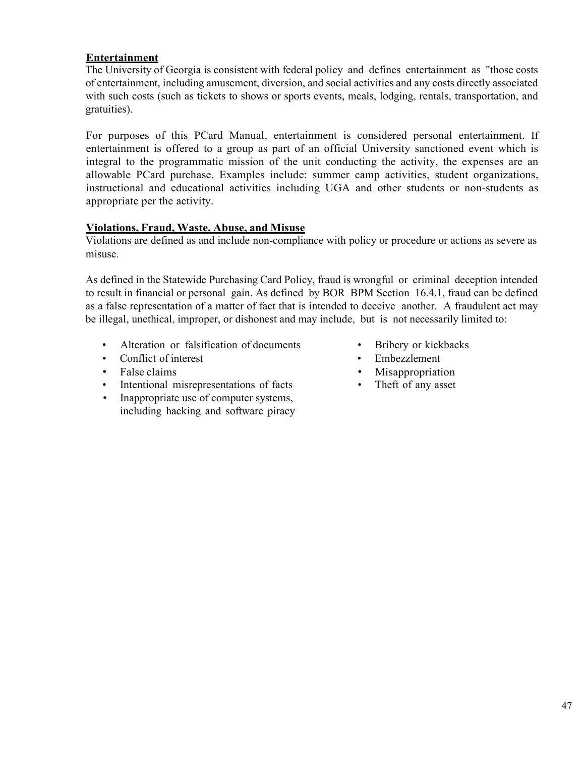# **Entertainment**

The University of Georgia is consistent with federal policy and defines entertainment as "those costs of entertainment, including amusement, diversion, and social activities and any costs directly associated with such costs (such as tickets to shows or sports events, meals, lodging, rentals, transportation, and gratuities).

For purposes of this PCard Manual, entertainment is considered personal entertainment. If entertainment is offered to a group as part of an official University sanctioned event which is integral to the programmatic mission of the unit conducting the activity, the expenses are an allowable PCard purchase. Examples include: summer camp activities, student organizations, instructional and educational activities including UGA and other students or non-students as appropriate per the activity.

#### **Violations, Fraud, Waste, Abuse, and Misuse**

Violations are defined as and include non-compliance with policy or procedure or actions as severe as misuse.

As defined in the Statewide Purchasing Card Policy, fraud is wrongful or criminal deception intended to result in financial or personal gain. As defined by BOR BPM Section 16.4.1, fraud can be defined as a false representation of a matter of fact that is intended to deceive another. A fraudulent act may be illegal, unethical, improper, or dishonest and may include, but is not necessarily limited to:

- Alteration or falsification of documents Bribery or kickbacks
- Conflict of interest Embezzlement
- 
- False claims Misappropriation<br>
Intentional misrepresentations of facts The ft of any asset • Intentional misrepresentations of facts
- Inappropriate use of computer systems, including hacking and software piracy
- 
- 
- 
-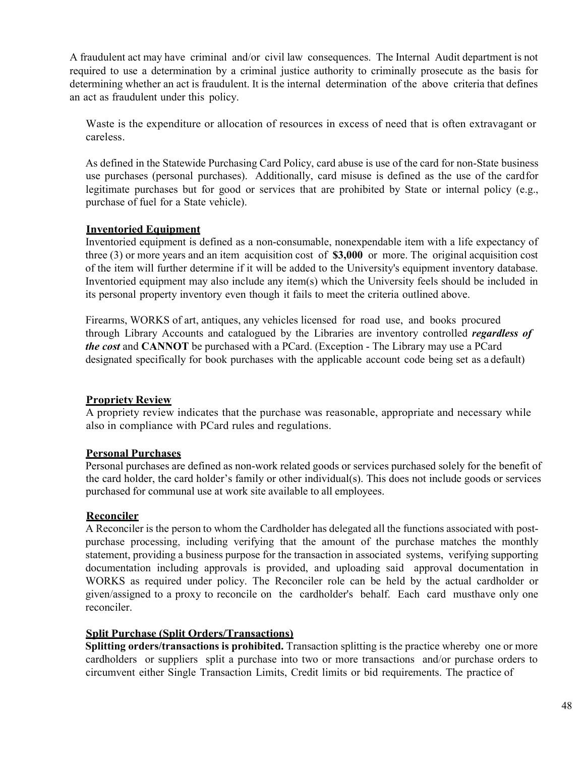A fraudulent act may have criminal and/or civil law consequences. The Internal Audit department is not required to use a determination by a criminal justice authority to criminally prosecute as the basis for determining whether an act is fraudulent. It is the internal determination of the above criteria that defines an act as fraudulent under this policy.

Waste is the expenditure or allocation of resources in excess of need that is often extravagant or careless.

As defined in the Statewide Purchasing Card Policy, card abuse is use of the card for non-State business use purchases (personal purchases). Additionally, card misuse is defined as the use of the cardfor legitimate purchases but for good or services that are prohibited by State or internal policy (e.g., purchase of fuel for a State vehicle).

# **Inventoried Equipment**

Inventoried equipment is defined as a non-consumable, nonexpendable item with a life expectancy of three (3) or more years and an item acquisition cost of **\$3,000** or more. The original acquisition cost of the item will further determine if it will be added to the University's equipment inventory database. Inventoried equipment may also include any item(s) which the University feels should be included in its personal property inventory even though it fails to meet the criteria outlined above.

Firearms, WORKS of art, antiques, any vehicles licensed for road use, and books procured through Library Accounts and catalogued by the Libraries are inventory controlled *regardless of the cost* and **CANNOT** be purchased with a PCard. (Exception - The Library may use a PCard designated specifically for book purchases with the applicable account code being set as a default)

# **Propriety Review**

A propriety review indicates that the purchase was reasonable, appropriate and necessary while also in compliance with PCard rules and regulations.

# **Personal Purchases**

Personal purchases are defined as non-work related goods or services purchased solely for the benefit of the card holder, the card holder's family or other individual(s). This does not include goods or services purchased for communal use at work site available to all employees.

# **Reconciler**

A Reconciler is the person to whom the Cardholder has delegated all the functions associated with postpurchase processing, including verifying that the amount of the purchase matches the monthly statement, providing a business purpose for the transaction in associated systems, verifying supporting documentation including approvals is provided, and uploading said approval documentation in WORKS as required under policy. The Reconciler role can be held by the actual cardholder or given/assigned to a proxy to reconcile on the cardholder's behalf. Each card musthave only one reconciler.

#### **Split Purchase (Split Orders/Transactions)**

**Splitting orders/transactions is prohibited.** Transaction splitting is the practice whereby one or more cardholders or suppliers split a purchase into two or more transactions and/or purchase orders to circumvent either Single Transaction Limits, Credit limits or bid requirements. The practice of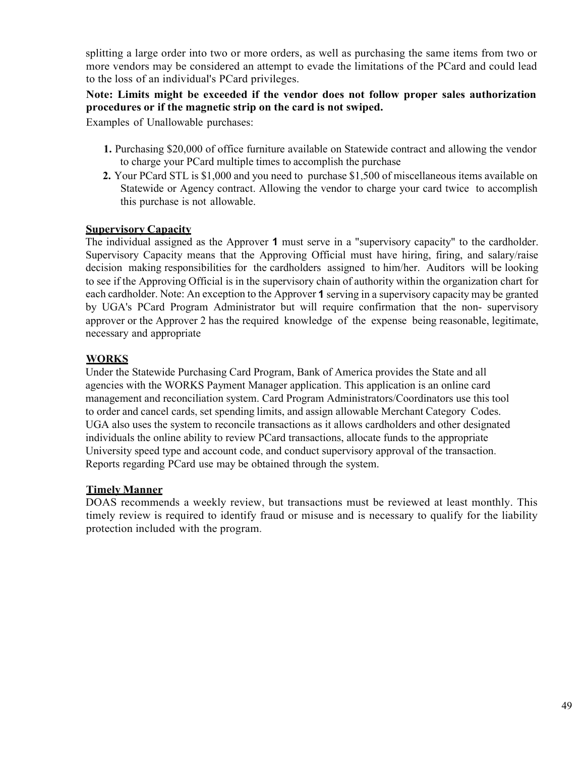splitting a large order into two or more orders, as well as purchasing the same items from two or more vendors may be considered an attempt to evade the limitations of the PCard and could lead to the loss of an individual's PCard privileges.

# **Note: Limits might be exceeded if the vendor does not follow proper sales authorization procedures or if the magnetic strip on the card is not swiped.**

Examples of Unallowable purchases:

- **1.** Purchasing \$20,000 of office furniture available on Statewide contract and allowing the vendor to charge your PCard multiple times to accomplish the purchase
- **2.** Your PCard STL is \$1,000 and you need to purchase \$1,500 of miscellaneous items available on Statewide or Agency contract. Allowing the vendor to charge your card twice to accomplish this purchase is not allowable.

#### **Supervisory Capacity**

The individual assigned as the Approver **1** must serve in a "supervisory capacity" to the cardholder. Supervisory Capacity means that the Approving Official must have hiring, firing, and salary/raise decision making responsibilities for the cardholders assigned to him/her. Auditors will be looking to see if the Approving Official is in the supervisory chain of authority within the organization chart for each cardholder. Note: An exception to the Approver **1** serving in a supervisory capacity may be granted by UGA's PCard Program Administrator but will require confirmation that the non- supervisory approver or the Approver 2 has the required knowledge of the expense being reasonable, legitimate, necessary and appropriate

# **WORKS**

Under the Statewide Purchasing Card Program, Bank of America provides the State and all agencies with the WORKS Payment Manager application. This application is an online card management and reconciliation system. Card Program Administrators/Coordinators use this tool to order and cancel cards, set spending limits, and assign allowable Merchant Category Codes. UGA also uses the system to reconcile transactions as it allows cardholders and other designated individuals the online ability to review PCard transactions, allocate funds to the appropriate University speed type and account code, and conduct supervisory approval of the transaction. Reports regarding PCard use may be obtained through the system.

#### **Timely Manner**

DOAS recommends a weekly review, but transactions must be reviewed at least monthly. This timely review is required to identify fraud or misuse and is necessary to qualify for the liability protection included with the program.